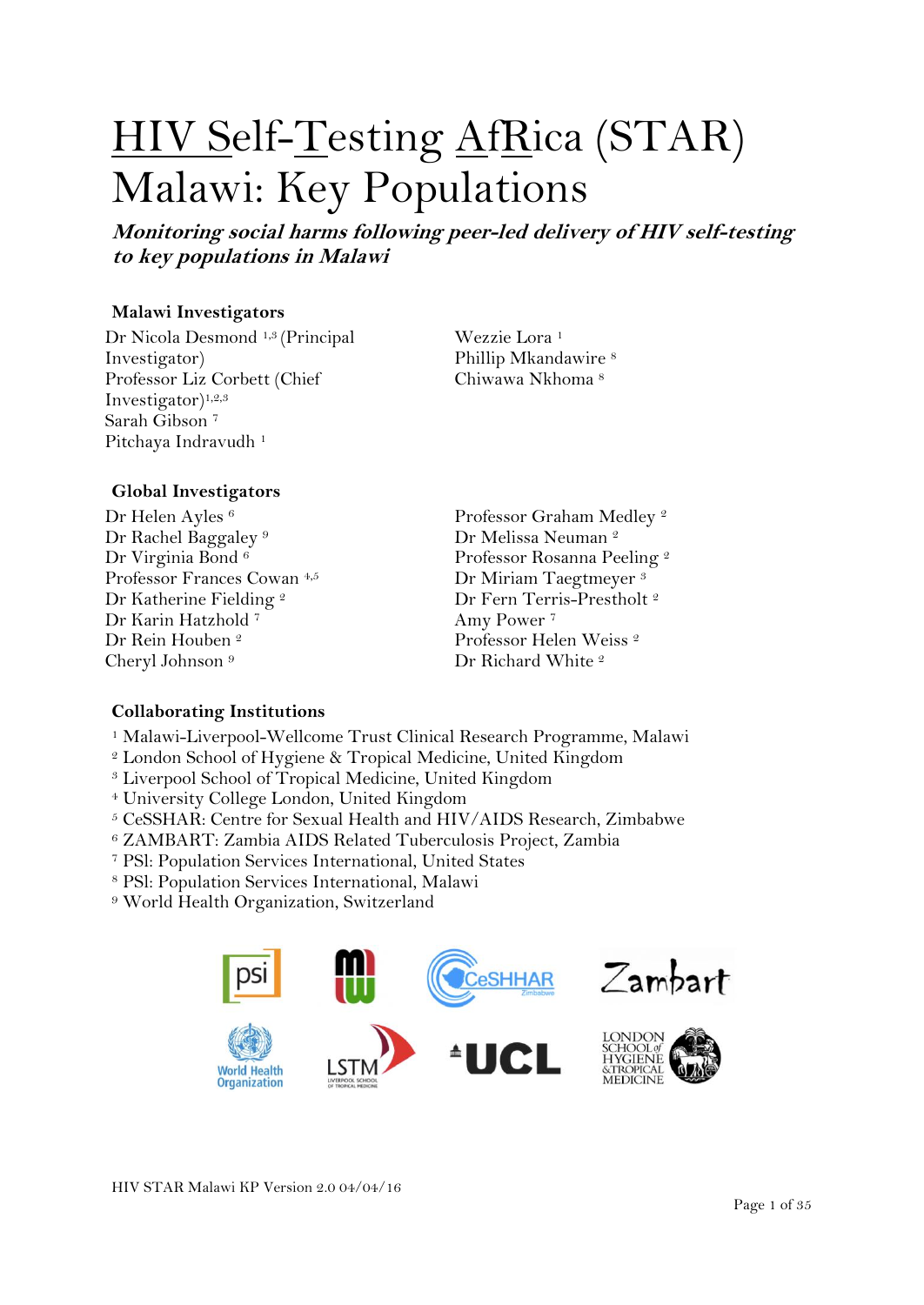# HIV Self-Testing AfRica (STAR) Malawi: Key Populations

**Monitoring social harms following peer-led delivery of HIV self-testing to key populations in Malawi**

#### **Malawi Investigators**

Dr Nicola Desmond 1,3 (Principal Investigator) Professor Liz Corbett (Chief Investigator)1,2,3 Sarah Gibson <sup>7</sup> Pitchaya Indravudh<sup>1</sup>

Wezzie Lora <sup>1</sup> Phillip Mkandawire <sup>8</sup> Chiwawa Nkhoma <sup>8</sup>

#### **Global Investigators**

Dr Helen Ayles<sup>6</sup> Dr Rachel Baggaley<sup>9</sup> Dr Virginia Bond<sup>6</sup> Professor Frances Cowan 4,5 Dr Katherine Fielding <sup>2</sup> Dr Karin Hatzhold <sup>7</sup> Dr Rein Houben <sup>2</sup> Cheryl Johnson <sup>9</sup>

Professor Graham Medley <sup>2</sup> Dr Melissa Neuman<sup>2</sup> Professor Rosanna Peeling <sup>2</sup> Dr Miriam Taegtmeyer <sup>3</sup> Dr Fern Terris-Prestholt<sup>2</sup> Amy Power <sup>7</sup> Professor Helen Weiss <sup>2</sup> Dr Richard White<sup>2</sup>

#### **Collaborating Institutions**

- <sup>1</sup> Malawi-Liverpool-Wellcome Trust Clinical Research Programme, Malawi
- <sup>2</sup> London School of Hygiene & Tropical Medicine, United Kingdom
- <sup>3</sup> Liverpool School of Tropical Medicine, United Kingdom
- <sup>4</sup> University College London, United Kingdom
- <sup>5</sup> CeSSHAR: Centre for Sexual Health and HIV/AIDS Research, Zimbabwe
- <sup>6</sup> ZAMBART: Zambia AIDS Related Tuberculosis Project, Zambia
- <sup>7</sup> PSl: Population Services International, United States
- <sup>8</sup> PSl: Population Services International, Malawi
- <sup>9</sup> World Health Organization, Switzerland

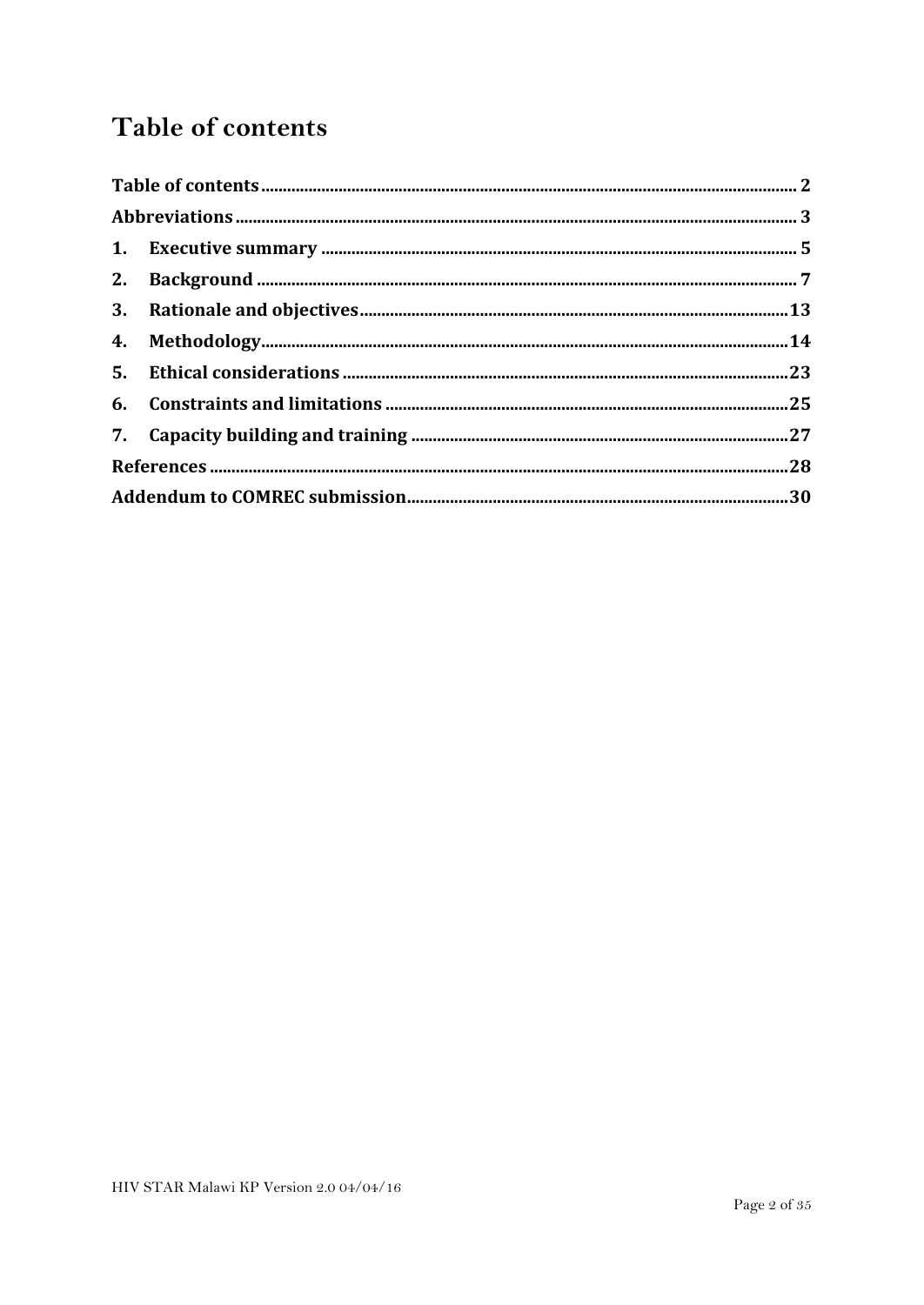## <span id="page-1-0"></span>Table of contents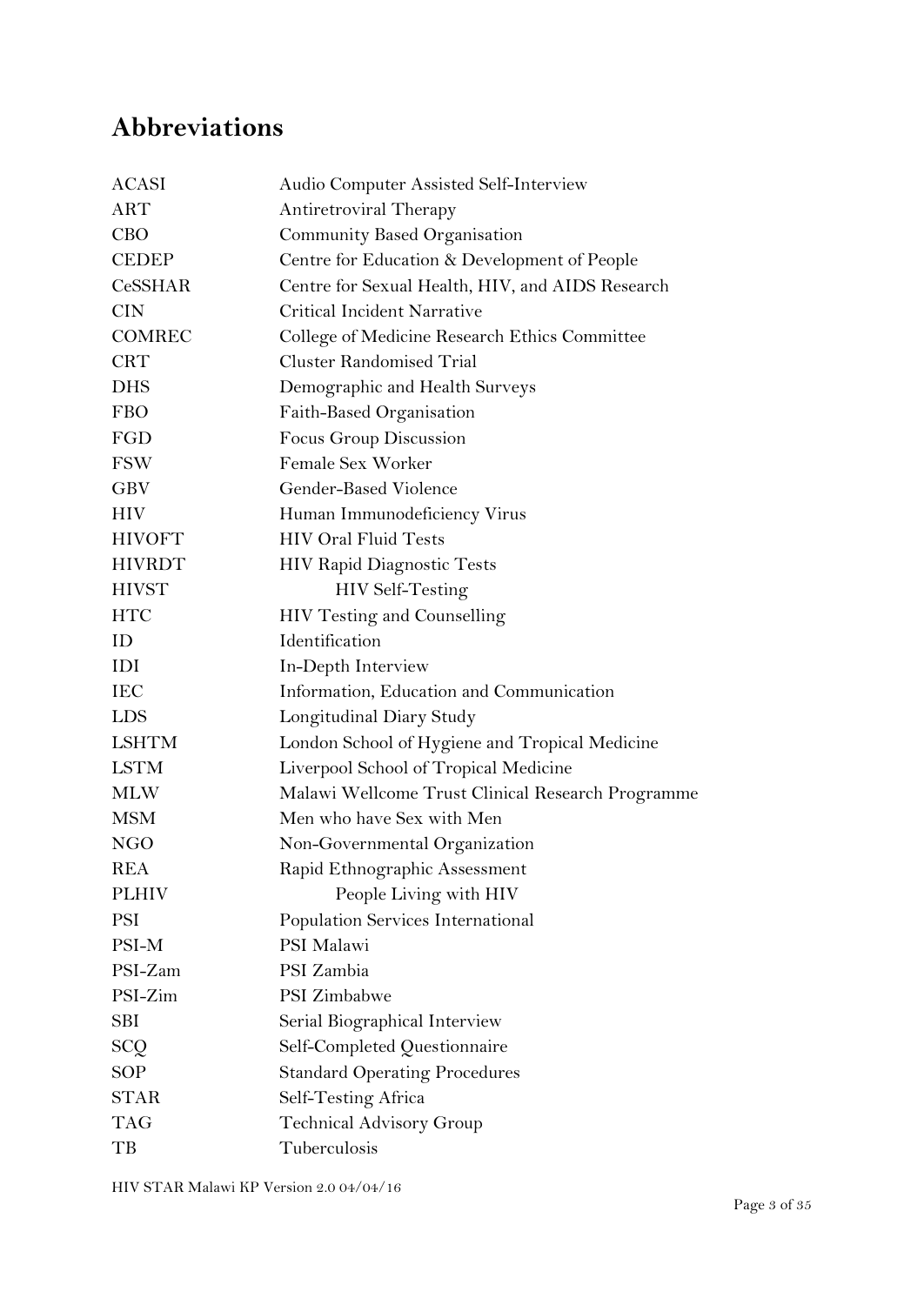## <span id="page-2-0"></span>**Abbreviations**

| <b>ACASI</b>   | Audio Computer Assisted Self-Interview            |
|----------------|---------------------------------------------------|
| <b>ART</b>     | Antiretroviral Therapy                            |
| <b>CBO</b>     | Community Based Organisation                      |
| <b>CEDEP</b>   | Centre for Education & Development of People      |
| <b>CeSSHAR</b> | Centre for Sexual Health, HIV, and AIDS Research  |
| <b>CIN</b>     | Critical Incident Narrative                       |
| <b>COMREC</b>  | College of Medicine Research Ethics Committee     |
| <b>CRT</b>     | <b>Cluster Randomised Trial</b>                   |
| <b>DHS</b>     | Demographic and Health Surveys                    |
| <b>FBO</b>     | Faith-Based Organisation                          |
| FGD            | Focus Group Discussion                            |
| <b>FSW</b>     | Female Sex Worker                                 |
| <b>GBV</b>     | Gender-Based Violence                             |
| <b>HIV</b>     | Human Immunodeficiency Virus                      |
| <b>HIVOFT</b>  | <b>HIV Oral Fluid Tests</b>                       |
| <b>HIVRDT</b>  | <b>HIV Rapid Diagnostic Tests</b>                 |
| <b>HIVST</b>   | <b>HIV Self-Testing</b>                           |
| <b>HTC</b>     | HIV Testing and Counselling                       |
| ID             | Identification                                    |
| IDI            | In-Depth Interview                                |
| <b>IEC</b>     | Information, Education and Communication          |
| <b>LDS</b>     | Longitudinal Diary Study                          |
| <b>LSHTM</b>   | London School of Hygiene and Tropical Medicine    |
| <b>LSTM</b>    | Liverpool School of Tropical Medicine             |
| <b>MLW</b>     | Malawi Wellcome Trust Clinical Research Programme |
| <b>MSM</b>     | Men who have Sex with Men                         |
| NGO            | Non-Governmental Organization                     |
| <b>REA</b>     | Rapid Ethnographic Assessment                     |
| <b>PLHIV</b>   | People Living with HIV                            |
| <b>PSI</b>     | Population Services International                 |
| PSI-M          | PSI Malawi                                        |
| PSI-Zam        | PSI Zambia                                        |
| PSI-Zim        | PSI Zimbabwe                                      |
| <b>SBI</b>     | Serial Biographical Interview                     |
| <b>SCQ</b>     | Self-Completed Questionnaire                      |
| <b>SOP</b>     | <b>Standard Operating Procedures</b>              |
| <b>STAR</b>    | Self-Testing Africa                               |
| <b>TAG</b>     | <b>Technical Advisory Group</b>                   |
| TB             | Tuberculosis                                      |

HIV STAR Malawi KP Version 2.0 04/04/16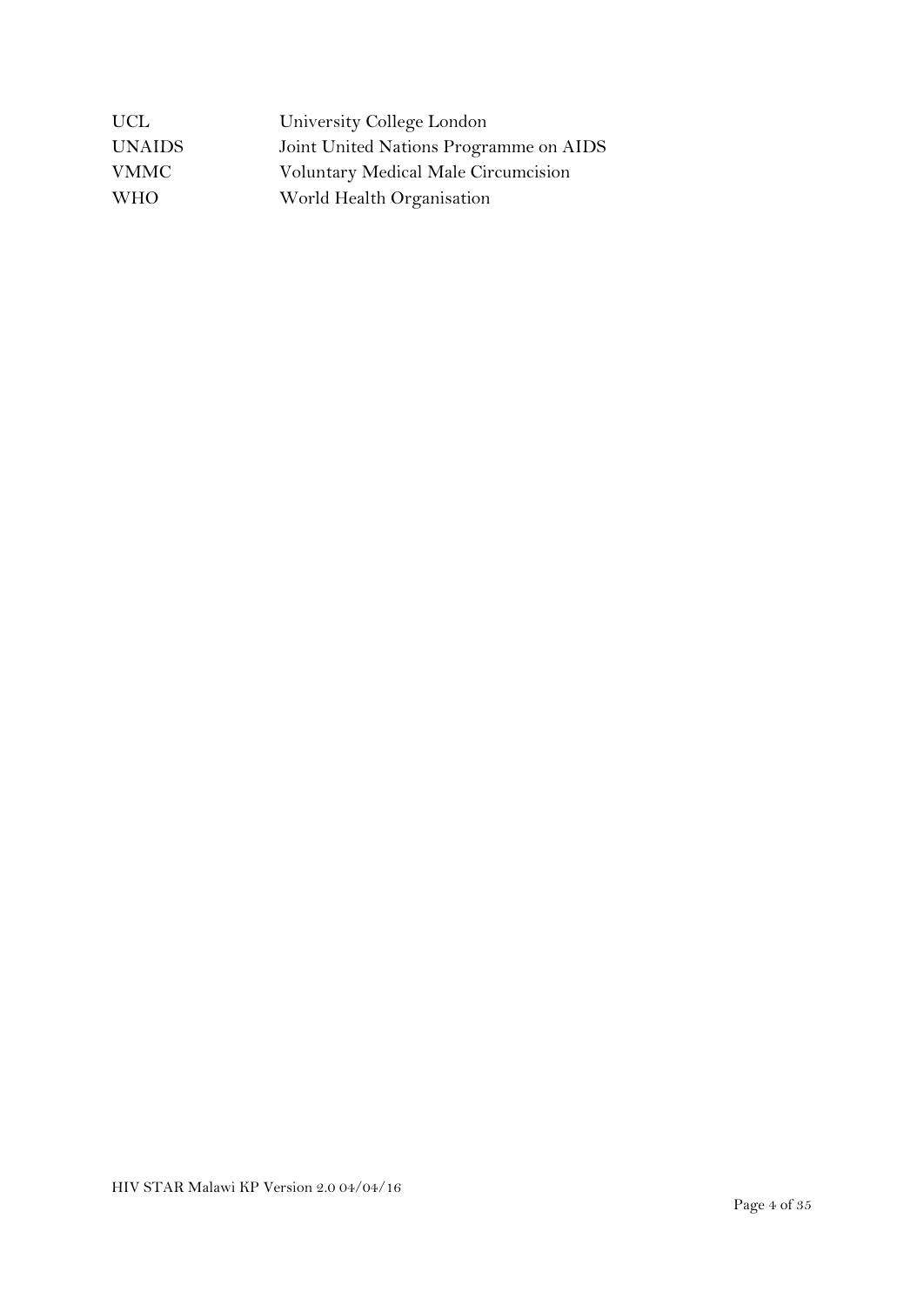| <b>UCL</b>    | University College London              |
|---------------|----------------------------------------|
| <b>UNAIDS</b> | Joint United Nations Programme on AIDS |
| <b>VMMC</b>   | Voluntary Medical Male Circumcision    |
| <b>WHO</b>    | World Health Organisation              |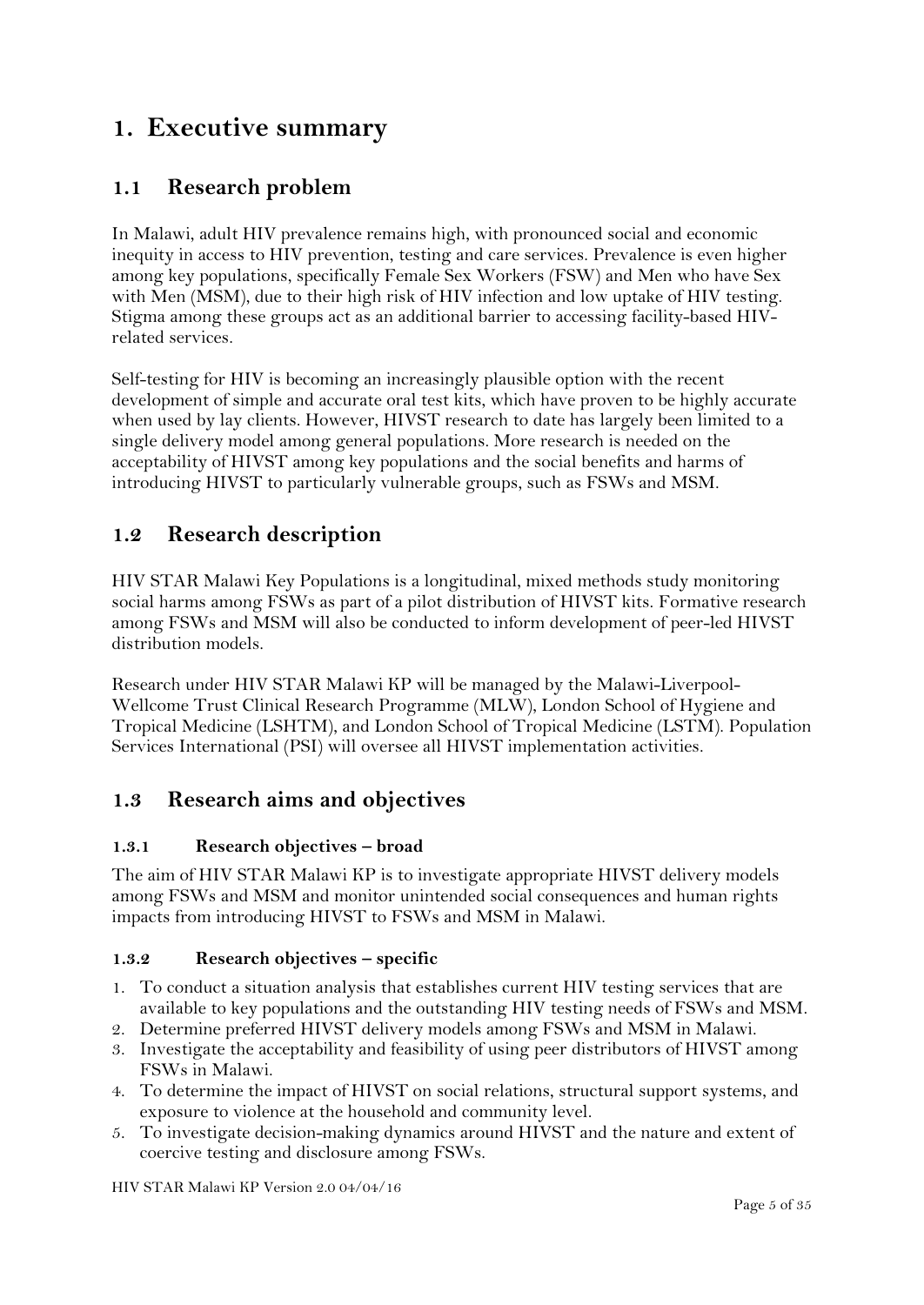## <span id="page-4-0"></span>**1. Executive summary**

## **1.1 Research problem**

In Malawi, adult HIV prevalence remains high, with pronounced social and economic inequity in access to HIV prevention, testing and care services. Prevalence is even higher among key populations, specifically Female Sex Workers (FSW) and Men who have Sex with Men (MSM), due to their high risk of HIV infection and low uptake of HIV testing. Stigma among these groups act as an additional barrier to accessing facility-based HIVrelated services.

Self-testing for HIV is becoming an increasingly plausible option with the recent development of simple and accurate oral test kits, which have proven to be highly accurate when used by lay clients. However, HIVST research to date has largely been limited to a single delivery model among general populations. More research is needed on the acceptability of HIVST among key populations and the social benefits and harms of introducing HIVST to particularly vulnerable groups, such as FSWs and MSM.

## **1.2 Research description**

HIV STAR Malawi Key Populations is a longitudinal, mixed methods study monitoring social harms among FSWs as part of a pilot distribution of HIVST kits. Formative research among FSWs and MSM will also be conducted to inform development of peer-led HIVST distribution models.

Research under HIV STAR Malawi KP will be managed by the Malawi-Liverpool-Wellcome Trust Clinical Research Programme (MLW), London School of Hygiene and Tropical Medicine (LSHTM), and London School of Tropical Medicine (LSTM). Population Services International (PSI) will oversee all HIVST implementation activities.

## **1.3 Research aims and objectives**

#### **1.3.1 Research objectives – broad**

The aim of HIV STAR Malawi KP is to investigate appropriate HIVST delivery models among FSWs and MSM and monitor unintended social consequences and human rights impacts from introducing HIVST to FSWs and MSM in Malawi.

#### **1.3.2 Research objectives – specific**

- 1. To conduct a situation analysis that establishes current HIV testing services that are available to key populations and the outstanding HIV testing needs of FSWs and MSM.
- 2. Determine preferred HIVST delivery models among FSWs and MSM in Malawi.
- 3. Investigate the acceptability and feasibility of using peer distributors of HIVST among FSWs in Malawi.
- 4. To determine the impact of HIVST on social relations, structural support systems, and exposure to violence at the household and community level.
- 5. To investigate decision-making dynamics around HIVST and the nature and extent of coercive testing and disclosure among FSWs.

HIV STAR Malawi KP Version 2.0 04/04/16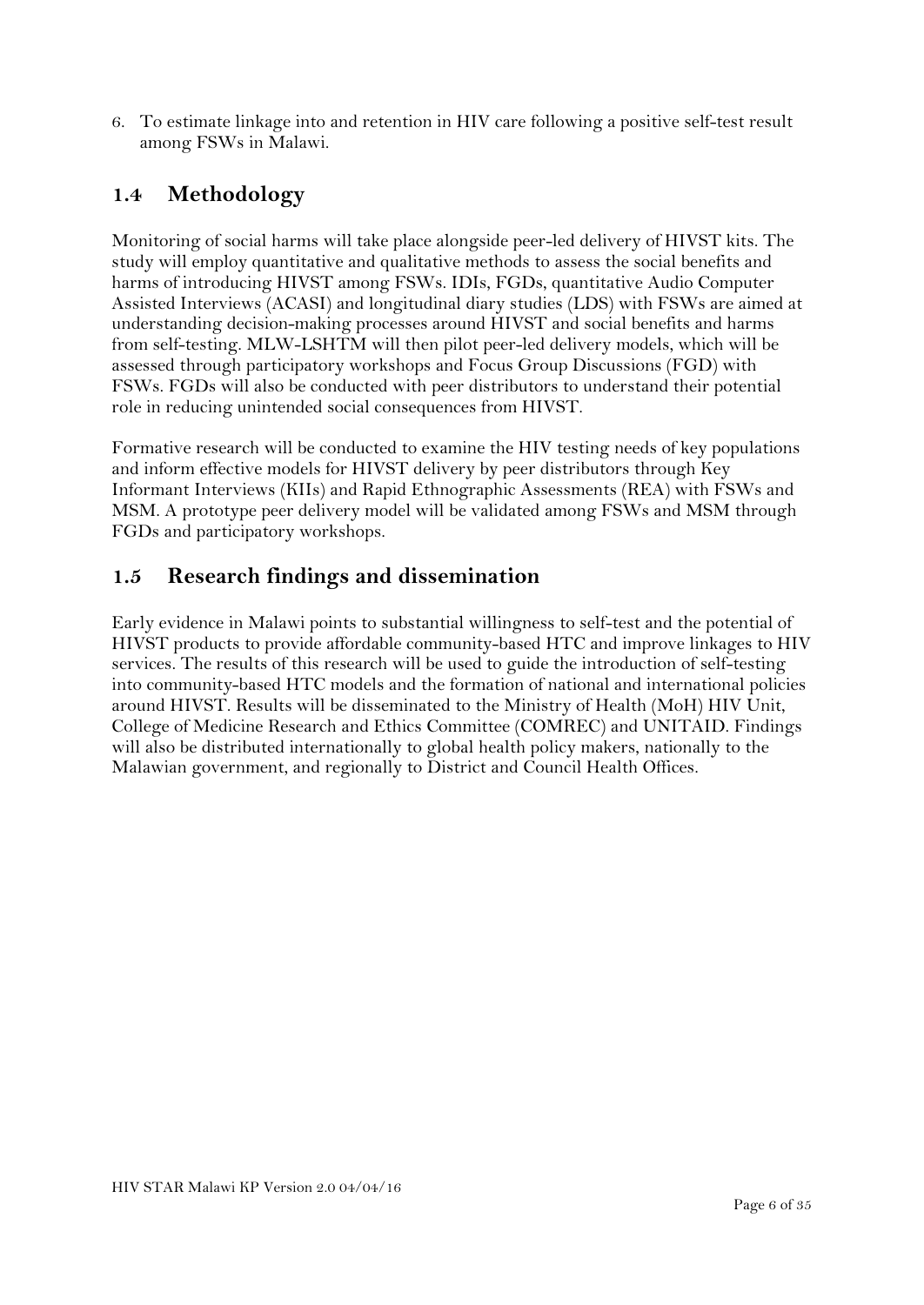6. To estimate linkage into and retention in HIV care following a positive self-test result among FSWs in Malawi.

## **1.4 Methodology**

Monitoring of social harms will take place alongside peer-led delivery of HIVST kits. The study will employ quantitative and qualitative methods to assess the social benefits and harms of introducing HIVST among FSWs. IDIs, FGDs, quantitative Audio Computer Assisted Interviews (ACASI) and longitudinal diary studies (LDS) with FSWs are aimed at understanding decision-making processes around HIVST and social benefits and harms from self-testing. MLW-LSHTM will then pilot peer-led delivery models, which will be assessed through participatory workshops and Focus Group Discussions (FGD) with FSWs. FGDs will also be conducted with peer distributors to understand their potential role in reducing unintended social consequences from HIVST.

Formative research will be conducted to examine the HIV testing needs of key populations and inform effective models for HIVST delivery by peer distributors through Key Informant Interviews (KIIs) and Rapid Ethnographic Assessments (REA) with FSWs and MSM. A prototype peer delivery model will be validated among FSWs and MSM through FGDs and participatory workshops.

### **1.5 Research findings and dissemination**

Early evidence in Malawi points to substantial willingness to self-test and the potential of HIVST products to provide affordable community-based HTC and improve linkages to HIV services. The results of this research will be used to guide the introduction of self-testing into community-based HTC models and the formation of national and international policies around HIVST. Results will be disseminated to the Ministry of Health (MoH) HIV Unit, College of Medicine Research and Ethics Committee (COMREC) and UNITAID. Findings will also be distributed internationally to global health policy makers, nationally to the Malawian government, and regionally to District and Council Health Offices.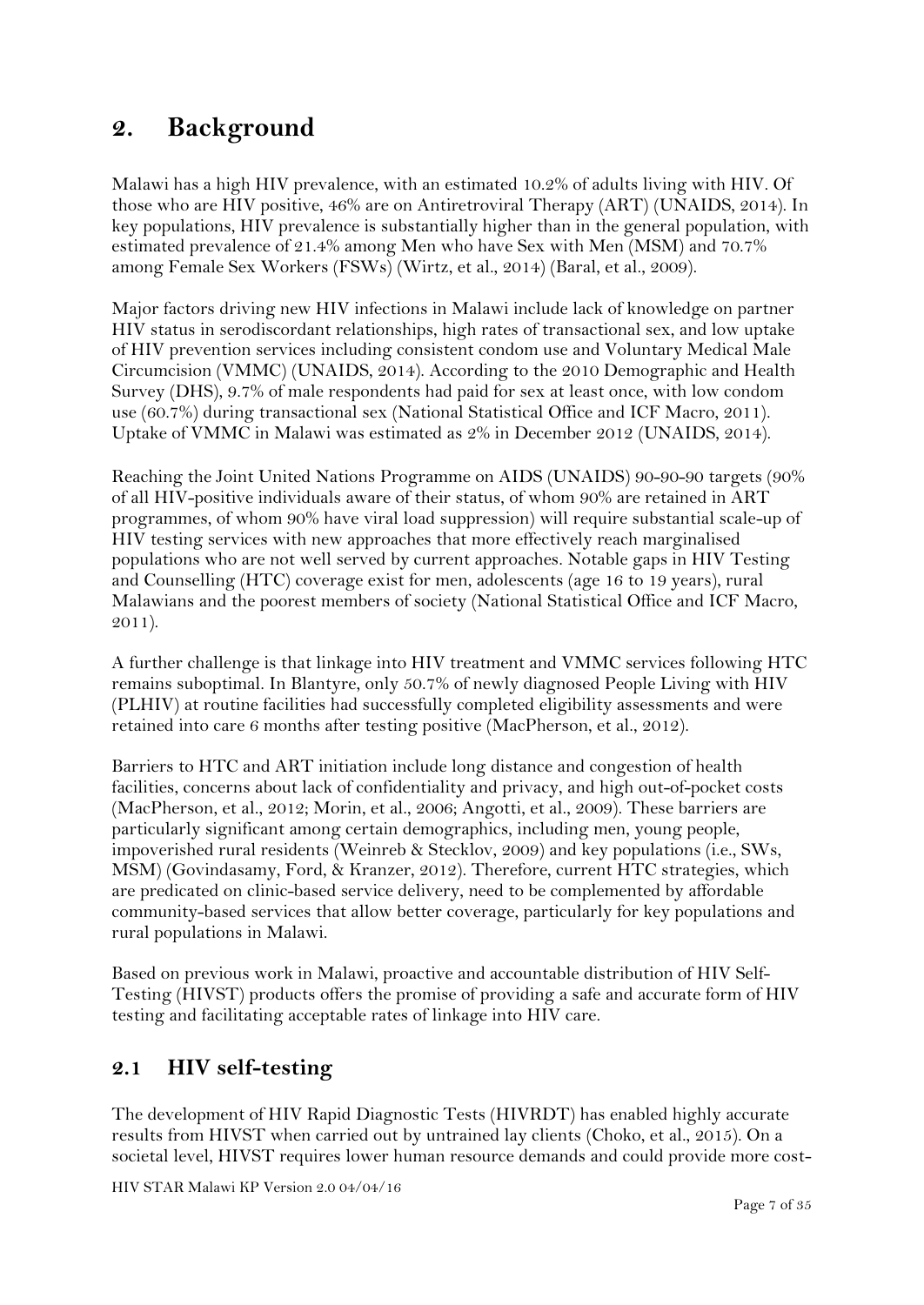## <span id="page-6-0"></span>**2. Background**

Malawi has a high HIV prevalence, with an estimated 10.2% of adults living with HIV. Of those who are HIV positive, 46% are on Antiretroviral Therapy (ART) (UNAIDS, 2014). In key populations, HIV prevalence is substantially higher than in the general population, with estimated prevalence of 21.4% among Men who have Sex with Men (MSM) and 70.7% among Female Sex Workers (FSWs) (Wirtz, et al., 2014) (Baral, et al., 2009).

Major factors driving new HIV infections in Malawi include lack of knowledge on partner HIV status in serodiscordant relationships, high rates of transactional sex, and low uptake of HIV prevention services including consistent condom use and Voluntary Medical Male Circumcision (VMMC) (UNAIDS, 2014). According to the 2010 Demographic and Health Survey (DHS), 9.7% of male respondents had paid for sex at least once, with low condom use (60.7%) during transactional sex (National Statistical Office and ICF Macro, 2011). Uptake of VMMC in Malawi was estimated as 2% in December 2012 (UNAIDS, 2014).

Reaching the Joint United Nations Programme on AIDS (UNAIDS) 90-90-90 targets (90% of all HIV-positive individuals aware of their status, of whom 90% are retained in ART programmes, of whom 90% have viral load suppression) will require substantial scale-up of HIV testing services with new approaches that more effectively reach marginalised populations who are not well served by current approaches. Notable gaps in HIV Testing and Counselling (HTC) coverage exist for men, adolescents (age 16 to 19 years), rural Malawians and the poorest members of society (National Statistical Office and ICF Macro, 2011).

A further challenge is that linkage into HIV treatment and VMMC services following HTC remains suboptimal. In Blantyre, only 50.7% of newly diagnosed People Living with HIV (PLHIV) at routine facilities had successfully completed eligibility assessments and were retained into care 6 months after testing positive (MacPherson, et al., 2012).

Barriers to HTC and ART initiation include long distance and congestion of health facilities, concerns about lack of confidentiality and privacy, and high out-of-pocket costs (MacPherson, et al., 2012; Morin, et al., 2006; Angotti, et al., 2009). These barriers are particularly significant among certain demographics, including men, young people, impoverished rural residents (Weinreb & Stecklov, 2009) and key populations (i.e., SWs, MSM) (Govindasamy, Ford, & Kranzer, 2012). Therefore, current HTC strategies, which are predicated on clinic-based service delivery, need to be complemented by affordable community-based services that allow better coverage, particularly for key populations and rural populations in Malawi.

Based on previous work in Malawi, proactive and accountable distribution of HIV Self-Testing (HIVST) products offers the promise of providing a safe and accurate form of HIV testing and facilitating acceptable rates of linkage into HIV care.

### **2.1 HIV self-testing**

The development of HIV Rapid Diagnostic Tests (HIVRDT) has enabled highly accurate results from HIVST when carried out by untrained lay clients (Choko, et al., 2015). On a societal level, HIVST requires lower human resource demands and could provide more cost-

HIV STAR Malawi KP Version 2.0 04/04/16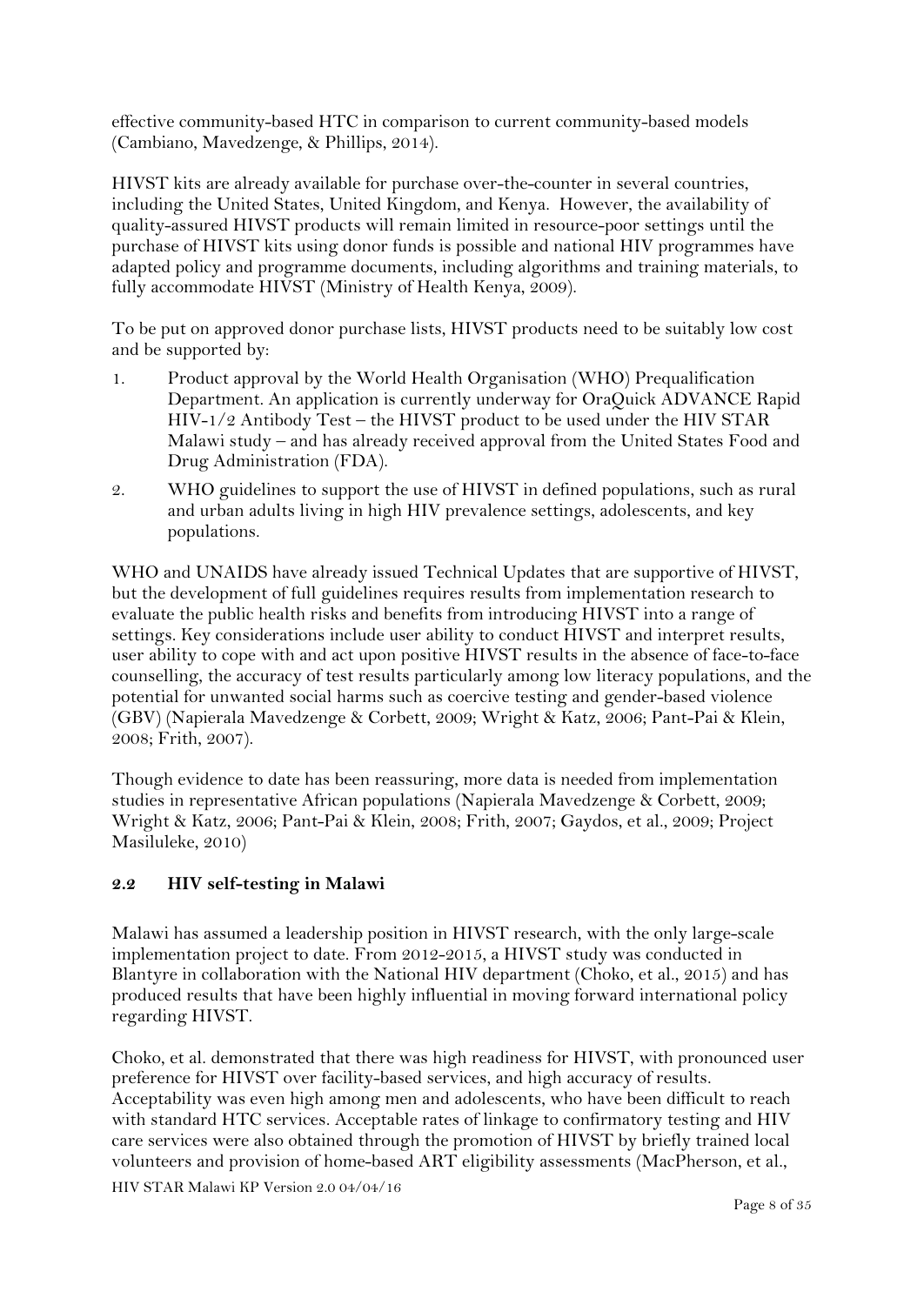effective community-based HTC in comparison to current community-based models (Cambiano, Mavedzenge, & Phillips, 2014).

HIVST kits are already available for purchase over-the-counter in several countries, including the United States, United Kingdom, and Kenya. However, the availability of quality-assured HIVST products will remain limited in resource-poor settings until the purchase of HIVST kits using donor funds is possible and national HIV programmes have adapted policy and programme documents, including algorithms and training materials, to fully accommodate HIVST (Ministry of Health Kenya, 2009).

To be put on approved donor purchase lists, HIVST products need to be suitably low cost and be supported by:

- 1. Product approval by the World Health Organisation (WHO) Prequalification Department. An application is currently underway for OraQuick ADVANCE Rapid HIV-1/2 Antibody Test – the HIVST product to be used under the HIV STAR Malawi study – and has already received approval from the United States Food and Drug Administration (FDA).
- 2. WHO guidelines to support the use of HIVST in defined populations, such as rural and urban adults living in high HIV prevalence settings, adolescents, and key populations.

WHO and UNAIDS have already issued Technical Updates that are supportive of HIVST, but the development of full guidelines requires results from implementation research to evaluate the public health risks and benefits from introducing HIVST into a range of settings. Key considerations include user ability to conduct HIVST and interpret results, user ability to cope with and act upon positive HIVST results in the absence of face-to-face counselling, the accuracy of test results particularly among low literacy populations, and the potential for unwanted social harms such as coercive testing and gender-based violence (GBV) (Napierala Mavedzenge & Corbett, 2009; Wright & Katz, 2006; Pant-Pai & Klein, 2008; Frith, 2007).

Though evidence to date has been reassuring, more data is needed from implementation studies in representative African populations (Napierala Mavedzenge & Corbett, 2009; Wright & Katz, 2006; Pant-Pai & Klein, 2008; Frith, 2007; Gaydos, et al., 2009; Project Masiluleke, 2010)

#### **2.2 HIV self-testing in Malawi**

Malawi has assumed a leadership position in HIVST research, with the only large-scale implementation project to date. From 2012-2015, a HIVST study was conducted in Blantyre in collaboration with the National HIV department (Choko, et al., 2015) and has produced results that have been highly influential in moving forward international policy regarding HIVST.

Choko, et al. demonstrated that there was high readiness for HIVST, with pronounced user preference for HIVST over facility-based services, and high accuracy of results. Acceptability was even high among men and adolescents, who have been difficult to reach with standard HTC services. Acceptable rates of linkage to confirmatory testing and HIV care services were also obtained through the promotion of HIVST by briefly trained local volunteers and provision of home-based ART eligibility assessments (MacPherson, et al.,

HIV STAR Malawi KP Version 2.0 04/04/16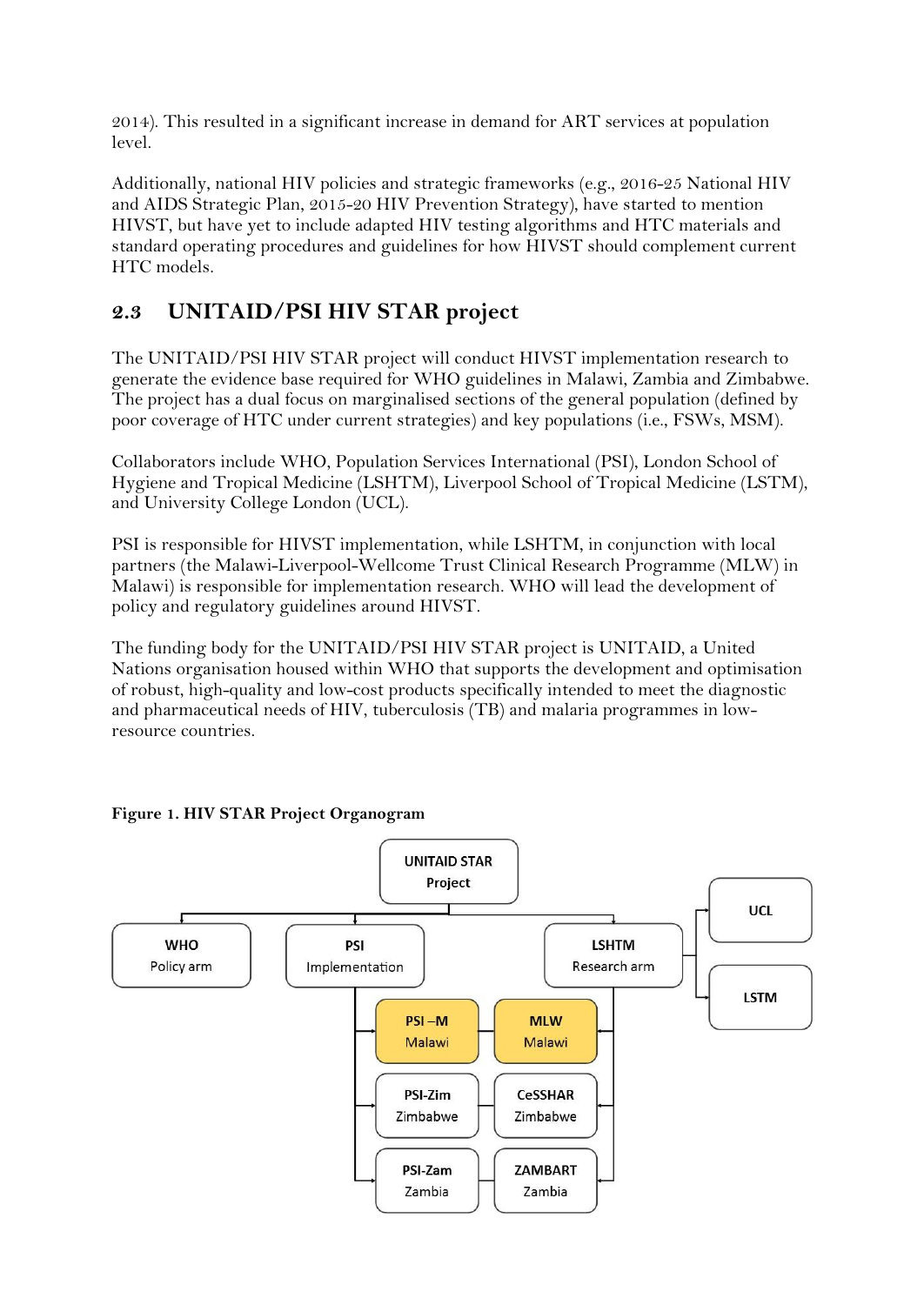2014). This resulted in a significant increase in demand for ART services at population level.

Additionally, national HIV policies and strategic frameworks (e.g., 2016-25 National HIV and AIDS Strategic Plan, 2015-20 HIV Prevention Strategy), have started to mention HIVST, but have yet to include adapted HIV testing algorithms and HTC materials and standard operating procedures and guidelines for how HIVST should complement current HTC models.

## **2.3 UNITAID/PSI HIV STAR project**

The UNITAID/PSI HIV STAR project will conduct HIVST implementation research to generate the evidence base required for WHO guidelines in Malawi, Zambia and Zimbabwe. The project has a dual focus on marginalised sections of the general population (defined by poor coverage of HTC under current strategies) and key populations (i.e., FSWs, MSM).

Collaborators include WHO, Population Services International (PSI), London School of Hygiene and Tropical Medicine (LSHTM), Liverpool School of Tropical Medicine (LSTM), and University College London (UCL).

PSI is responsible for HIVST implementation, while LSHTM, in conjunction with local partners (the Malawi-Liverpool-Wellcome Trust Clinical Research Programme (MLW) in Malawi) is responsible for implementation research. WHO will lead the development of policy and regulatory guidelines around HIVST.

The funding body for the UNITAID/PSI HIV STAR project is UNITAID, a United Nations organisation housed within WHO that supports the development and optimisation of robust, high-quality and low-cost products specifically intended to meet the diagnostic and pharmaceutical needs of HIV, tuberculosis (TB) and malaria programmes in lowresource countries.



**Figure 1. HIV STAR Project Organogram**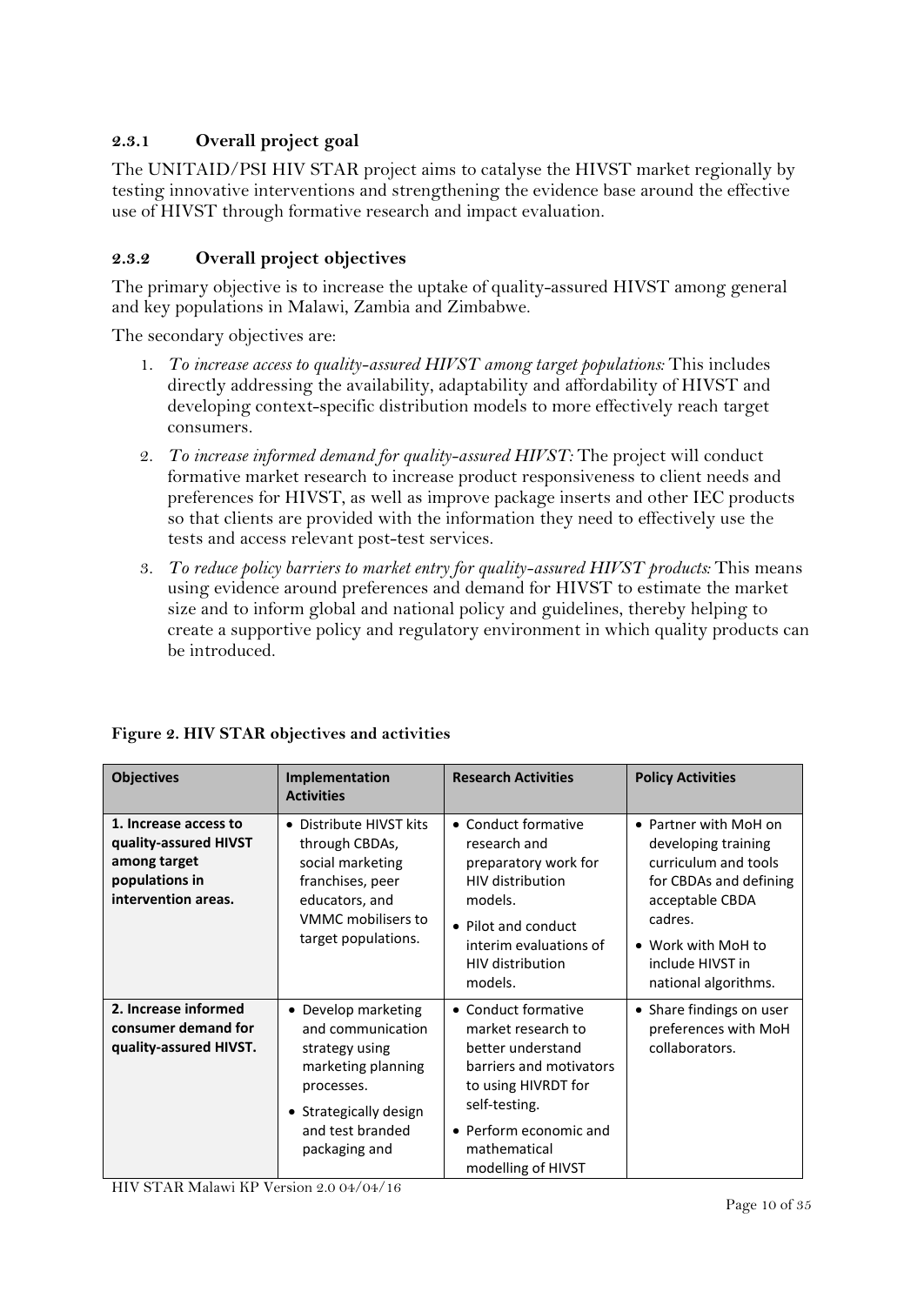#### **2.3.1 Overall project goal**

The UNITAID/PSI HIV STAR project aims to catalyse the HIVST market regionally by testing innovative interventions and strengthening the evidence base around the effective use of HIVST through formative research and impact evaluation.

#### **2.3.2 Overall project objectives**

The primary objective is to increase the uptake of quality-assured HIVST among general and key populations in Malawi, Zambia and Zimbabwe.

The secondary objectives are:

- 1. *To increase access to quality-assured HIVST among target populations:* This includes directly addressing the availability, adaptability and affordability of HIVST and developing context-specific distribution models to more effectively reach target consumers.
- 2. *To increase informed demand for quality-assured HIVST:* The project will conduct formative market research to increase product responsiveness to client needs and preferences for HIVST, as well as improve package inserts and other IEC products so that clients are provided with the information they need to effectively use the tests and access relevant post-test services.
- 3. *To reduce policy barriers to market entry for quality-assured HIVST products:* This means using evidence around preferences and demand for HIVST to estimate the market size and to inform global and national policy and guidelines, thereby helping to create a supportive policy and regulatory environment in which quality products can be introduced.

| <b>Objectives</b>                                                                                       | Implementation<br><b>Activities</b>                                                                                                                           | <b>Research Activities</b>                                                                                                                                                                        | <b>Policy Activities</b>                                                                                                                                                                       |
|---------------------------------------------------------------------------------------------------------|---------------------------------------------------------------------------------------------------------------------------------------------------------------|---------------------------------------------------------------------------------------------------------------------------------------------------------------------------------------------------|------------------------------------------------------------------------------------------------------------------------------------------------------------------------------------------------|
| 1. Increase access to<br>quality-assured HIVST<br>among target<br>populations in<br>intervention areas. | • Distribute HIVST kits<br>through CBDAs,<br>social marketing<br>franchises, peer<br>educators, and<br>VMMC mobilisers to<br>target populations.              | • Conduct formative<br>research and<br>preparatory work for<br><b>HIV</b> distribution<br>models.<br>• Pilot and conduct<br>interim evaluations of<br><b>HIV distribution</b><br>models.          | • Partner with MoH on<br>developing training<br>curriculum and tools<br>for CBDAs and defining<br>acceptable CBDA<br>cadres.<br>• Work with MoH to<br>include HIVST in<br>national algorithms. |
| 2. Increase informed<br>consumer demand for<br>quality-assured HIVST.                                   | • Develop marketing<br>and communication<br>strategy using<br>marketing planning<br>processes.<br>• Strategically design<br>and test branded<br>packaging and | • Conduct formative<br>market research to<br>better understand<br>barriers and motivators<br>to using HIVRDT for<br>self-testing.<br>• Perform economic and<br>mathematical<br>modelling of HIVST | • Share findings on user<br>preferences with MoH<br>collaborators.                                                                                                                             |

#### **Figure 2. HIV STAR objectives and activities**

HIV STAR Malawi KP Version 2.0 04/04/16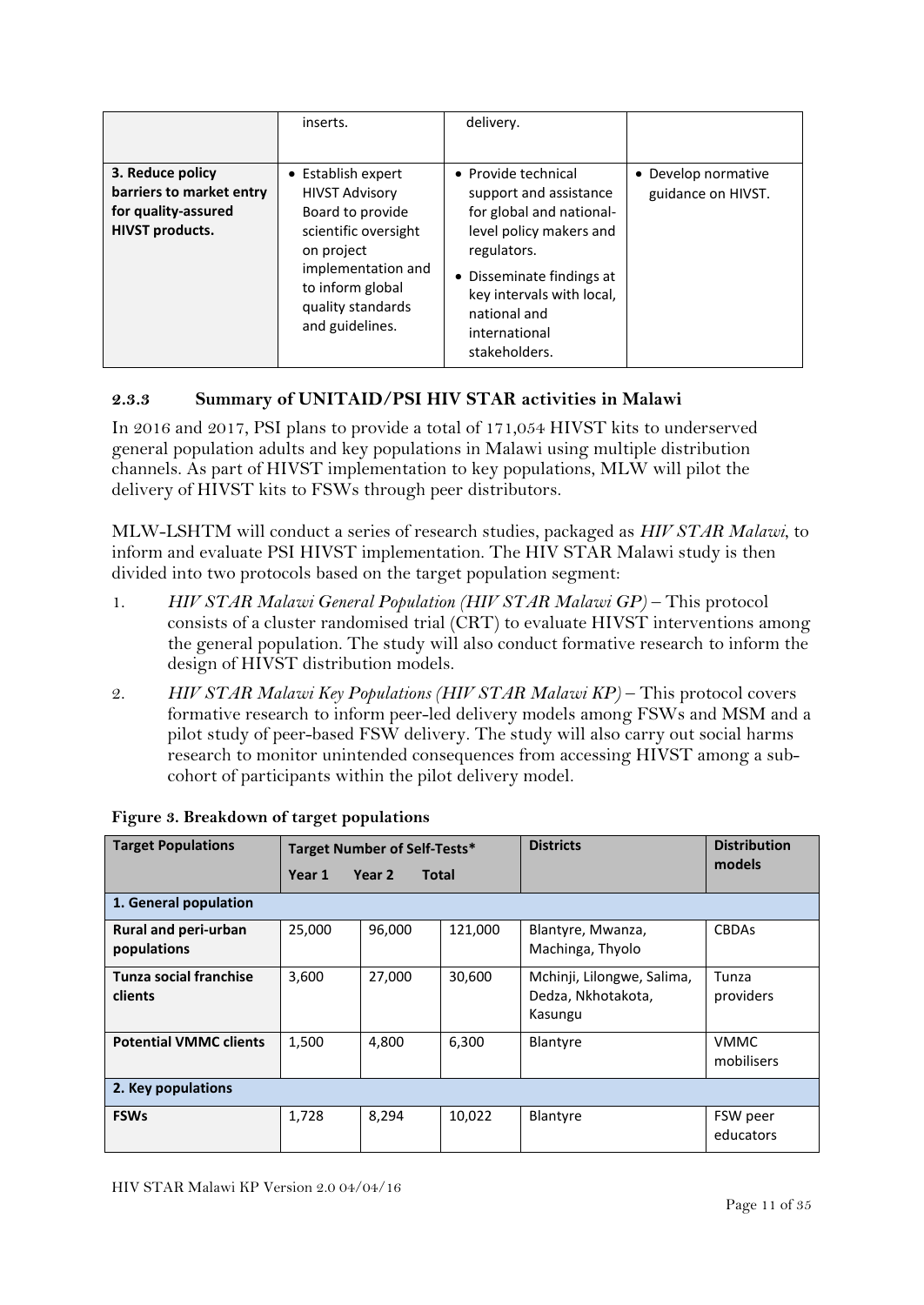|                                                                                               | inserts.                                                                                                                                                                                | delivery.                                                                                                                                                                                                                       |                                           |
|-----------------------------------------------------------------------------------------------|-----------------------------------------------------------------------------------------------------------------------------------------------------------------------------------------|---------------------------------------------------------------------------------------------------------------------------------------------------------------------------------------------------------------------------------|-------------------------------------------|
| 3. Reduce policy<br>barriers to market entry<br>for quality-assured<br><b>HIVST</b> products. | • Establish expert<br><b>HIVST Advisory</b><br>Board to provide<br>scientific oversight<br>on project<br>implementation and<br>to inform global<br>quality standards<br>and guidelines. | • Provide technical<br>support and assistance<br>for global and national-<br>level policy makers and<br>regulators.<br>• Disseminate findings at<br>key intervals with local,<br>national and<br>international<br>stakeholders. | • Develop normative<br>guidance on HIVST. |

#### **2.3.3 Summary of UNITAID/PSI HIV STAR activities in Malawi**

In 2016 and 2017, PSI plans to provide a total of 171,054 HIVST kits to underserved general population adults and key populations in Malawi using multiple distribution channels. As part of HIVST implementation to key populations, MLW will pilot the delivery of HIVST kits to FSWs through peer distributors.

MLW-LSHTM will conduct a series of research studies, packaged as *HIV STAR Malawi*, to inform and evaluate PSI HIVST implementation. The HIV STAR Malawi study is then divided into two protocols based on the target population segment:

- 1. *HIV STAR Malawi General Population (HIV STAR Malawi GP)* This protocol consists of a cluster randomised trial (CRT) to evaluate HIVST interventions among the general population. The study will also conduct formative research to inform the design of HIVST distribution models.
- 2. *HIV STAR Malawi Key Populations (HIV STAR Malawi KP)* This protocol covers formative research to inform peer-led delivery models among FSWs and MSM and a pilot study of peer-based FSW delivery. The study will also carry out social harms research to monitor unintended consequences from accessing HIVST among a subcohort of participants within the pilot delivery model.

| <b>Target Populations</b>           |        | <b>Target Number of Self-Tests*</b> |         | <b>Districts</b>                                            | <b>Distribution</b>       |
|-------------------------------------|--------|-------------------------------------|---------|-------------------------------------------------------------|---------------------------|
|                                     | Year 1 | Year 2<br><b>Total</b>              |         |                                                             | models                    |
| 1. General population               |        |                                     |         |                                                             |                           |
| Rural and peri-urban<br>populations | 25,000 | 96,000                              | 121,000 | Blantyre, Mwanza,<br>Machinga, Thyolo                       | <b>CBDAs</b>              |
| Tunza social franchise<br>clients   | 3,600  | 27,000                              | 30,600  | Mchinji, Lilongwe, Salima,<br>Dedza, Nkhotakota,<br>Kasungu | Tunza<br>providers        |
| <b>Potential VMMC clients</b>       | 1,500  | 4,800                               | 6,300   | Blantyre                                                    | <b>VMMC</b><br>mobilisers |
| 2. Key populations                  |        |                                     |         |                                                             |                           |
| <b>FSWs</b>                         | 1,728  | 8,294                               | 10,022  | Blantyre                                                    | FSW peer<br>educators     |

**Figure 3. Breakdown of target populations**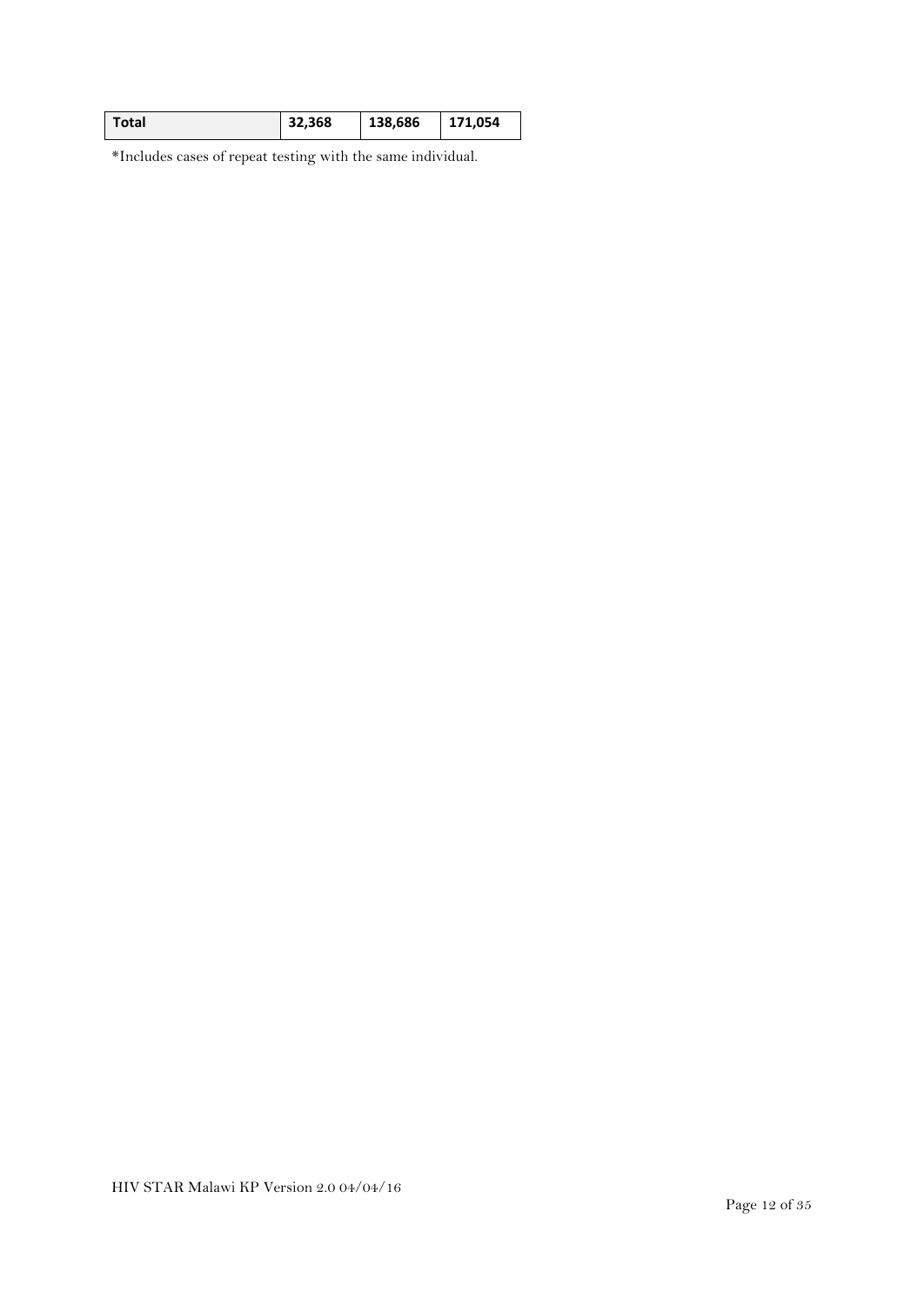| Total | 32,368 | 138,686 | 171,054 |
|-------|--------|---------|---------|
|       |        |         |         |

\*Includes cases of repeat testing with the same individual.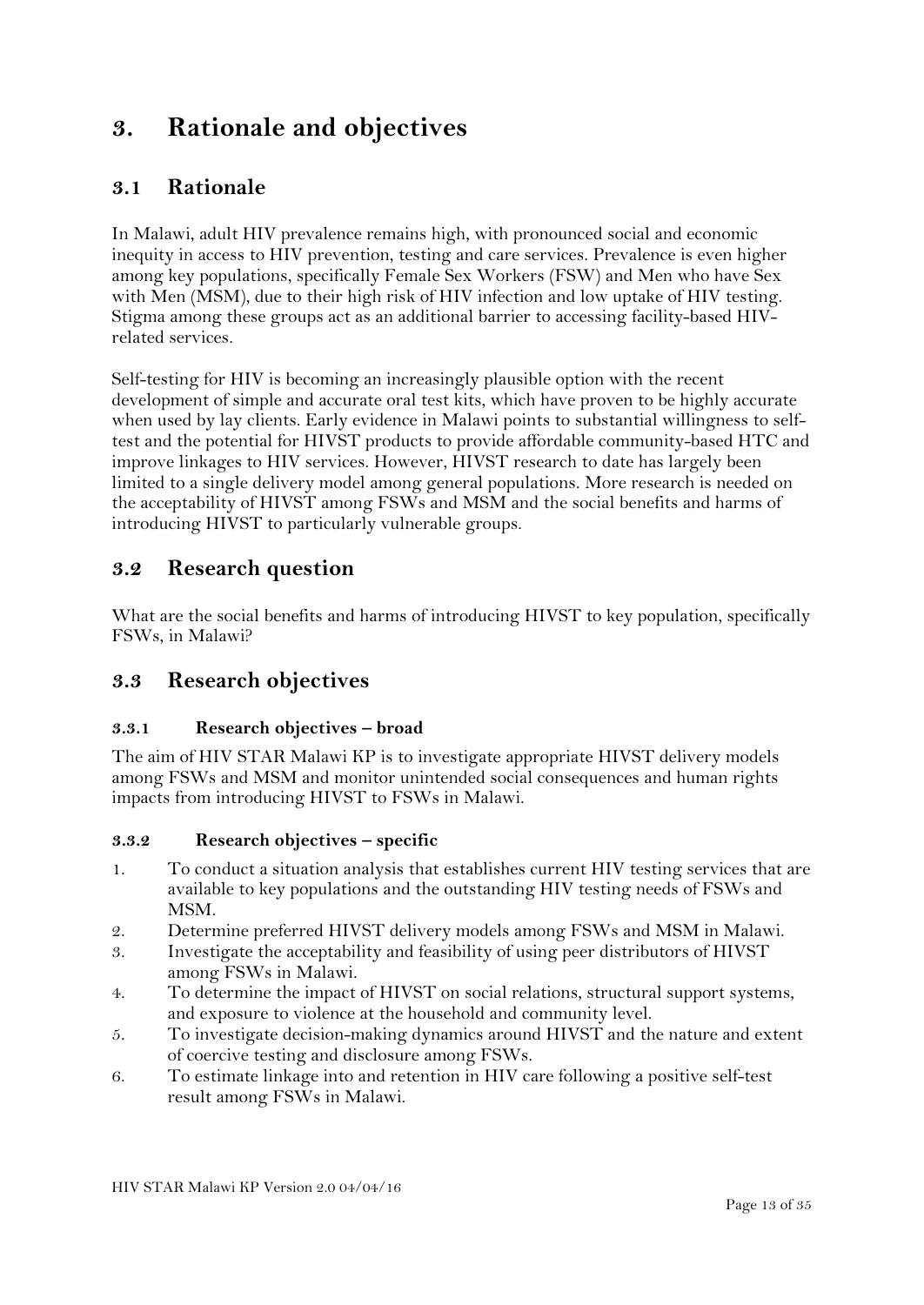## <span id="page-12-0"></span>**3. Rationale and objectives**

## **3.1 Rationale**

In Malawi, adult HIV prevalence remains high, with pronounced social and economic inequity in access to HIV prevention, testing and care services. Prevalence is even higher among key populations, specifically Female Sex Workers (FSW) and Men who have Sex with Men (MSM), due to their high risk of HIV infection and low uptake of HIV testing. Stigma among these groups act as an additional barrier to accessing facility-based HIVrelated services.

Self-testing for HIV is becoming an increasingly plausible option with the recent development of simple and accurate oral test kits, which have proven to be highly accurate when used by lay clients. Early evidence in Malawi points to substantial willingness to selftest and the potential for HIVST products to provide affordable community-based HTC and improve linkages to HIV services. However, HIVST research to date has largely been limited to a single delivery model among general populations. More research is needed on the acceptability of HIVST among FSWs and MSM and the social benefits and harms of introducing HIVST to particularly vulnerable groups.

### **3.2 Research question**

What are the social benefits and harms of introducing HIVST to key population, specifically FSWs, in Malawi?

### **3.3 Research objectives**

#### **3.3.1 Research objectives – broad**

The aim of HIV STAR Malawi KP is to investigate appropriate HIVST delivery models among FSWs and MSM and monitor unintended social consequences and human rights impacts from introducing HIVST to FSWs in Malawi.

#### **3.3.2 Research objectives – specific**

- 1. To conduct a situation analysis that establishes current HIV testing services that are available to key populations and the outstanding HIV testing needs of FSWs and MSM.
- 2. Determine preferred HIVST delivery models among FSWs and MSM in Malawi.
- 3. Investigate the acceptability and feasibility of using peer distributors of HIVST among FSWs in Malawi.
- 4. To determine the impact of HIVST on social relations, structural support systems, and exposure to violence at the household and community level.
- 5. To investigate decision-making dynamics around HIVST and the nature and extent of coercive testing and disclosure among FSWs.
- 6. To estimate linkage into and retention in HIV care following a positive self-test result among FSWs in Malawi.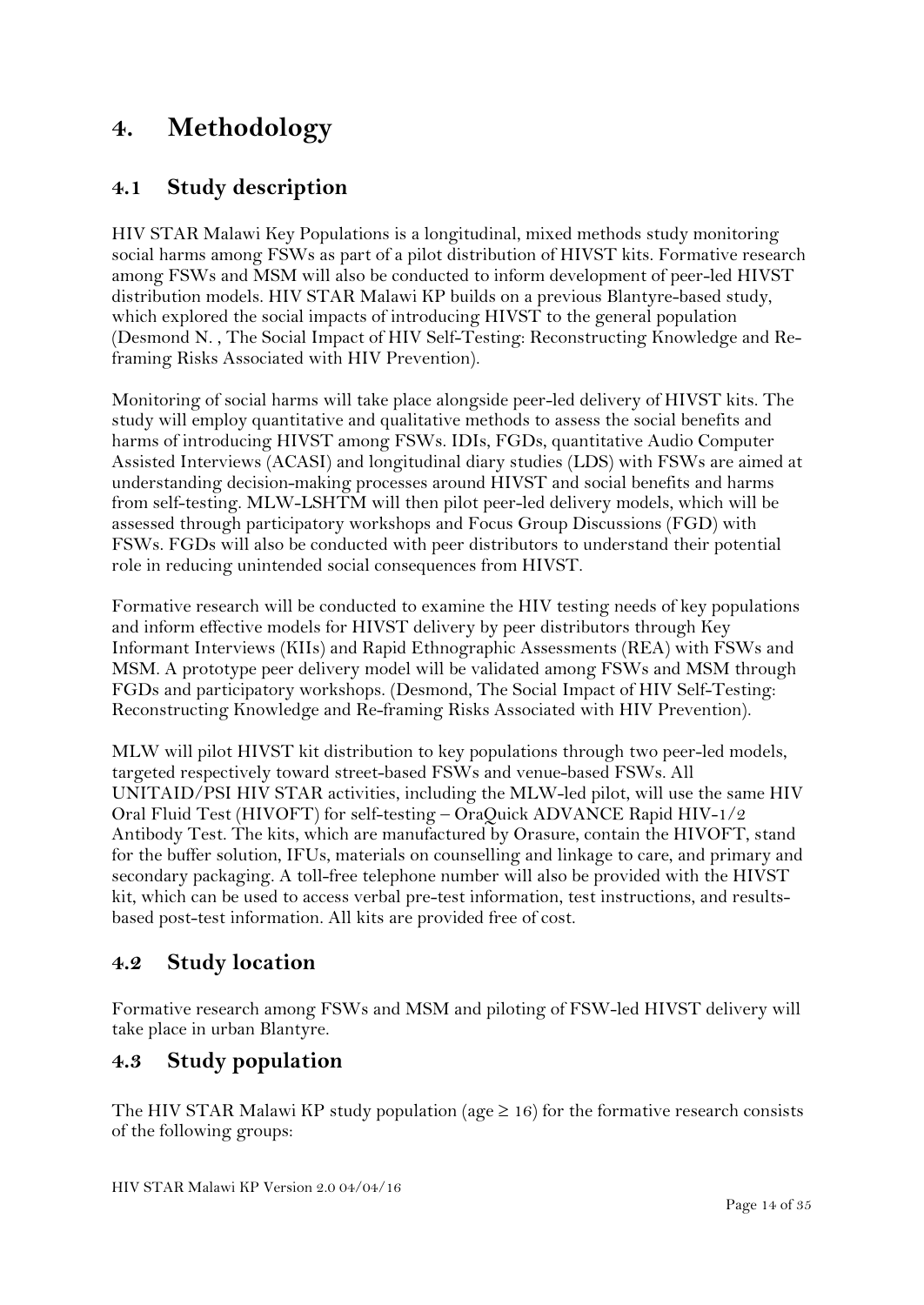## <span id="page-13-0"></span>**4. Methodology**

## **4.1 Study description**

HIV STAR Malawi Key Populations is a longitudinal, mixed methods study monitoring social harms among FSWs as part of a pilot distribution of HIVST kits. Formative research among FSWs and MSM will also be conducted to inform development of peer-led HIVST distribution models. HIV STAR Malawi KP builds on a previous Blantyre-based study, which explored the social impacts of introducing HIVST to the general population (Desmond N. , The Social Impact of HIV Self-Testing: Reconstructing Knowledge and Reframing Risks Associated with HIV Prevention).

Monitoring of social harms will take place alongside peer-led delivery of HIVST kits. The study will employ quantitative and qualitative methods to assess the social benefits and harms of introducing HIVST among FSWs. IDIs, FGDs, quantitative Audio Computer Assisted Interviews (ACASI) and longitudinal diary studies (LDS) with FSWs are aimed at understanding decision-making processes around HIVST and social benefits and harms from self-testing. MLW-LSHTM will then pilot peer-led delivery models, which will be assessed through participatory workshops and Focus Group Discussions (FGD) with FSWs. FGDs will also be conducted with peer distributors to understand their potential role in reducing unintended social consequences from HIVST.

Formative research will be conducted to examine the HIV testing needs of key populations and inform effective models for HIVST delivery by peer distributors through Key Informant Interviews (KIIs) and Rapid Ethnographic Assessments (REA) with FSWs and MSM. A prototype peer delivery model will be validated among FSWs and MSM through FGDs and participatory workshops. (Desmond, The Social Impact of HIV Self-Testing: Reconstructing Knowledge and Re-framing Risks Associated with HIV Prevention).

MLW will pilot HIVST kit distribution to key populations through two peer-led models, targeted respectively toward street-based FSWs and venue-based FSWs. All UNITAID/PSI HIV STAR activities, including the MLW-led pilot, will use the same HIV Oral Fluid Test (HIVOFT) for self-testing – OraQuick ADVANCE Rapid HIV-1/2 Antibody Test. The kits, which are manufactured by Orasure, contain the HIVOFT, stand for the buffer solution, IFUs, materials on counselling and linkage to care, and primary and secondary packaging. A toll-free telephone number will also be provided with the HIVST kit, which can be used to access verbal pre-test information, test instructions, and resultsbased post-test information. All kits are provided free of cost.

### **4.2 Study location**

Formative research among FSWs and MSM and piloting of FSW-led HIVST delivery will take place in urban Blantyre.

### **4.3 Study population**

The HIV STAR Malawi KP study population (age  $\geq$  16) for the formative research consists of the following groups: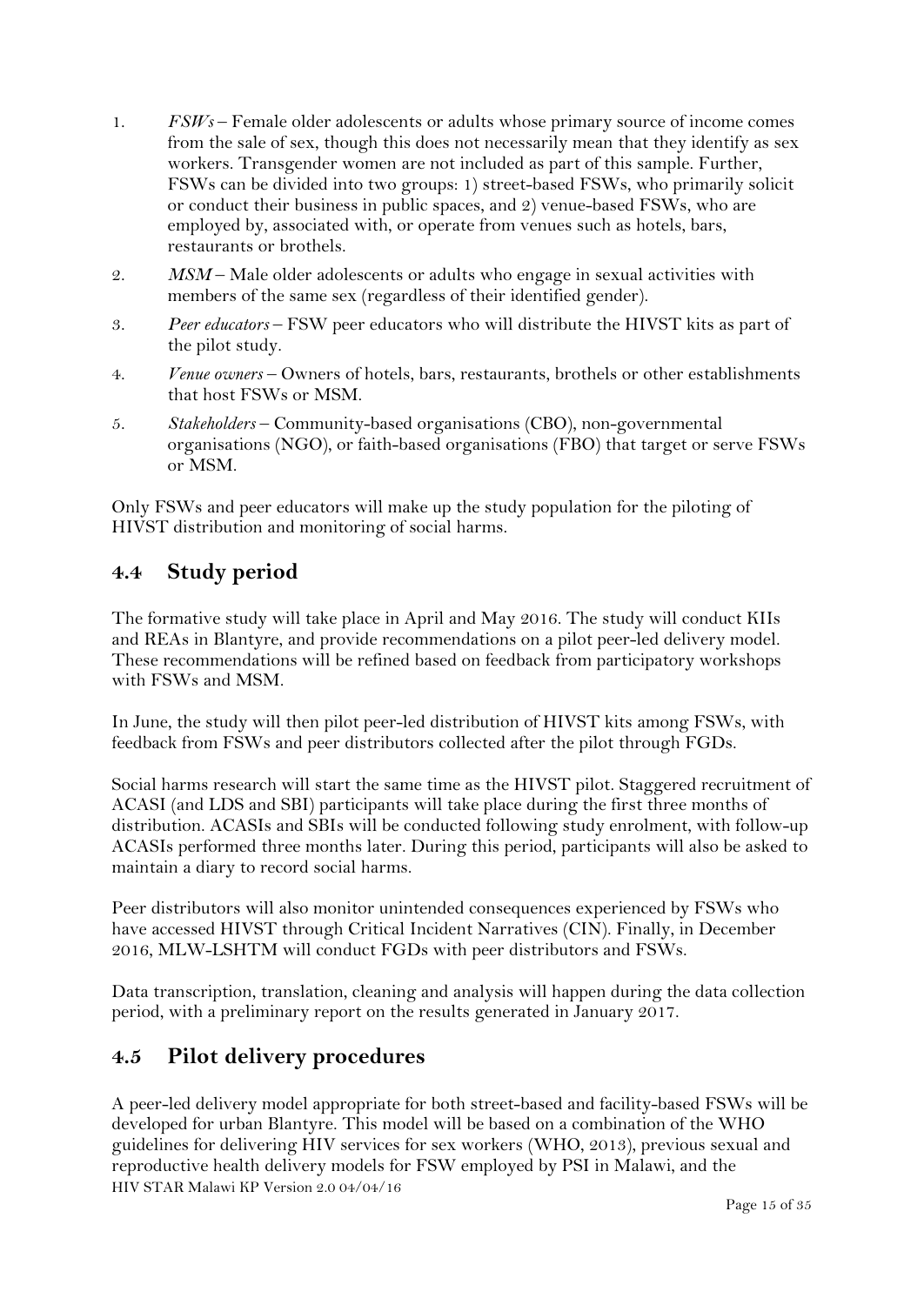- 1. *FSWs*  Female older adolescents or adults whose primary source of income comes from the sale of sex, though this does not necessarily mean that they identify as sex workers. Transgender women are not included as part of this sample. Further, FSWs can be divided into two groups: 1) street-based FSWs, who primarily solicit or conduct their business in public spaces, and 2) venue-based FSWs, who are employed by, associated with, or operate from venues such as hotels, bars, restaurants or brothels.
- 2. *MSM* Male older adolescents or adults who engage in sexual activities with members of the same sex (regardless of their identified gender).
- 3. *Peer educators*  FSW peer educators who will distribute the HIVST kits as part of the pilot study.
- 4. *Venue owners* Owners of hotels, bars, restaurants, brothels or other establishments that host FSWs or MSM.
- 5. *Stakeholders* Community-based organisations (CBO), non-governmental organisations (NGO), or faith-based organisations (FBO) that target or serve FSWs or MSM.

Only FSWs and peer educators will make up the study population for the piloting of HIVST distribution and monitoring of social harms.

### **4.4 Study period**

The formative study will take place in April and May 2016. The study will conduct KIIs and REAs in Blantyre, and provide recommendations on a pilot peer-led delivery model. These recommendations will be refined based on feedback from participatory workshops with FSWs and MSM.

In June, the study will then pilot peer-led distribution of HIVST kits among FSWs, with feedback from FSWs and peer distributors collected after the pilot through FGDs.

Social harms research will start the same time as the HIVST pilot. Staggered recruitment of ACASI (and LDS and SBI) participants will take place during the first three months of distribution. ACASIs and SBIs will be conducted following study enrolment, with follow-up ACASIs performed three months later. During this period, participants will also be asked to maintain a diary to record social harms.

Peer distributors will also monitor unintended consequences experienced by FSWs who have accessed HIVST through Critical Incident Narratives (CIN). Finally, in December 2016, MLW-LSHTM will conduct FGDs with peer distributors and FSWs.

Data transcription, translation, cleaning and analysis will happen during the data collection period, with a preliminary report on the results generated in January 2017.

### **4.5 Pilot delivery procedures**

HIV STAR Malawi KP Version 2.0 04/04/16 A peer-led delivery model appropriate for both street-based and facility-based FSWs will be developed for urban Blantyre. This model will be based on a combination of the WHO guidelines for delivering HIV services for sex workers (WHO, 2013), previous sexual and reproductive health delivery models for FSW employed by PSI in Malawi, and the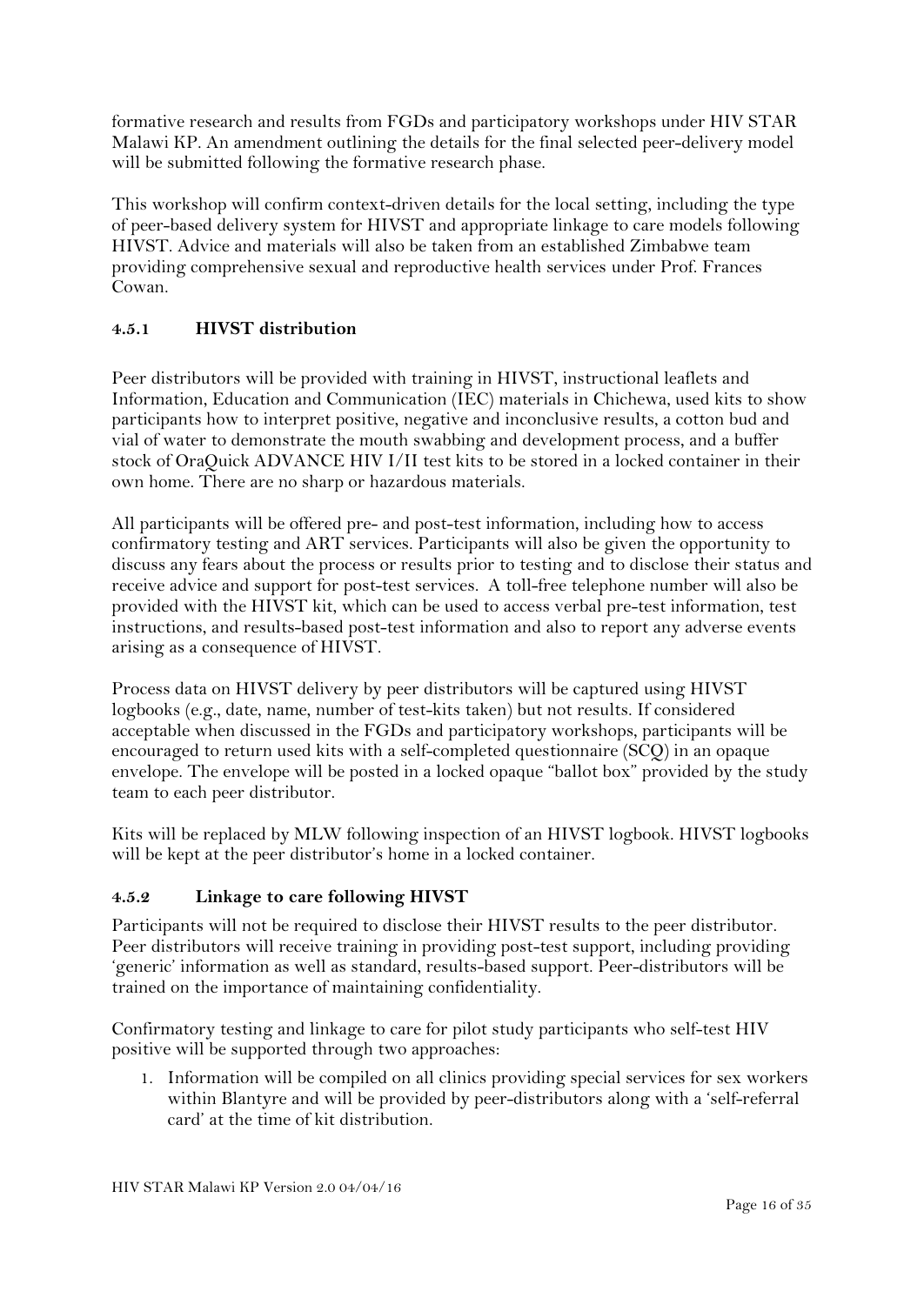formative research and results from FGDs and participatory workshops under HIV STAR Malawi KP. An amendment outlining the details for the final selected peer-delivery model will be submitted following the formative research phase.

This workshop will confirm context-driven details for the local setting, including the type of peer-based delivery system for HIVST and appropriate linkage to care models following HIVST. Advice and materials will also be taken from an established Zimbabwe team providing comprehensive sexual and reproductive health services under Prof. Frances Cowan.

#### **4.5.1 HIVST distribution**

Peer distributors will be provided with training in HIVST, instructional leaflets and Information, Education and Communication (IEC) materials in Chichewa, used kits to show participants how to interpret positive, negative and inconclusive results, a cotton bud and vial of water to demonstrate the mouth swabbing and development process, and a buffer stock of OraQuick ADVANCE HIV I/II test kits to be stored in a locked container in their own home. There are no sharp or hazardous materials.

All participants will be offered pre- and post-test information, including how to access confirmatory testing and ART services. Participants will also be given the opportunity to discuss any fears about the process or results prior to testing and to disclose their status and receive advice and support for post-test services. A toll-free telephone number will also be provided with the HIVST kit, which can be used to access verbal pre-test information, test instructions, and results-based post-test information and also to report any adverse events arising as a consequence of HIVST.

Process data on HIVST delivery by peer distributors will be captured using HIVST logbooks (e.g., date, name, number of test-kits taken) but not results. If considered acceptable when discussed in the FGDs and participatory workshops, participants will be encouraged to return used kits with a self-completed questionnaire (SCQ) in an opaque envelope. The envelope will be posted in a locked opaque "ballot box" provided by the study team to each peer distributor.

Kits will be replaced by MLW following inspection of an HIVST logbook. HIVST logbooks will be kept at the peer distributor's home in a locked container.

#### **4.5.2 Linkage to care following HIVST**

Participants will not be required to disclose their HIVST results to the peer distributor. Peer distributors will receive training in providing post-test support, including providing 'generic' information as well as standard, results-based support. Peer-distributors will be trained on the importance of maintaining confidentiality.

Confirmatory testing and linkage to care for pilot study participants who self-test HIV positive will be supported through two approaches:

1. Information will be compiled on all clinics providing special services for sex workers within Blantyre and will be provided by peer-distributors along with a 'self-referral card' at the time of kit distribution.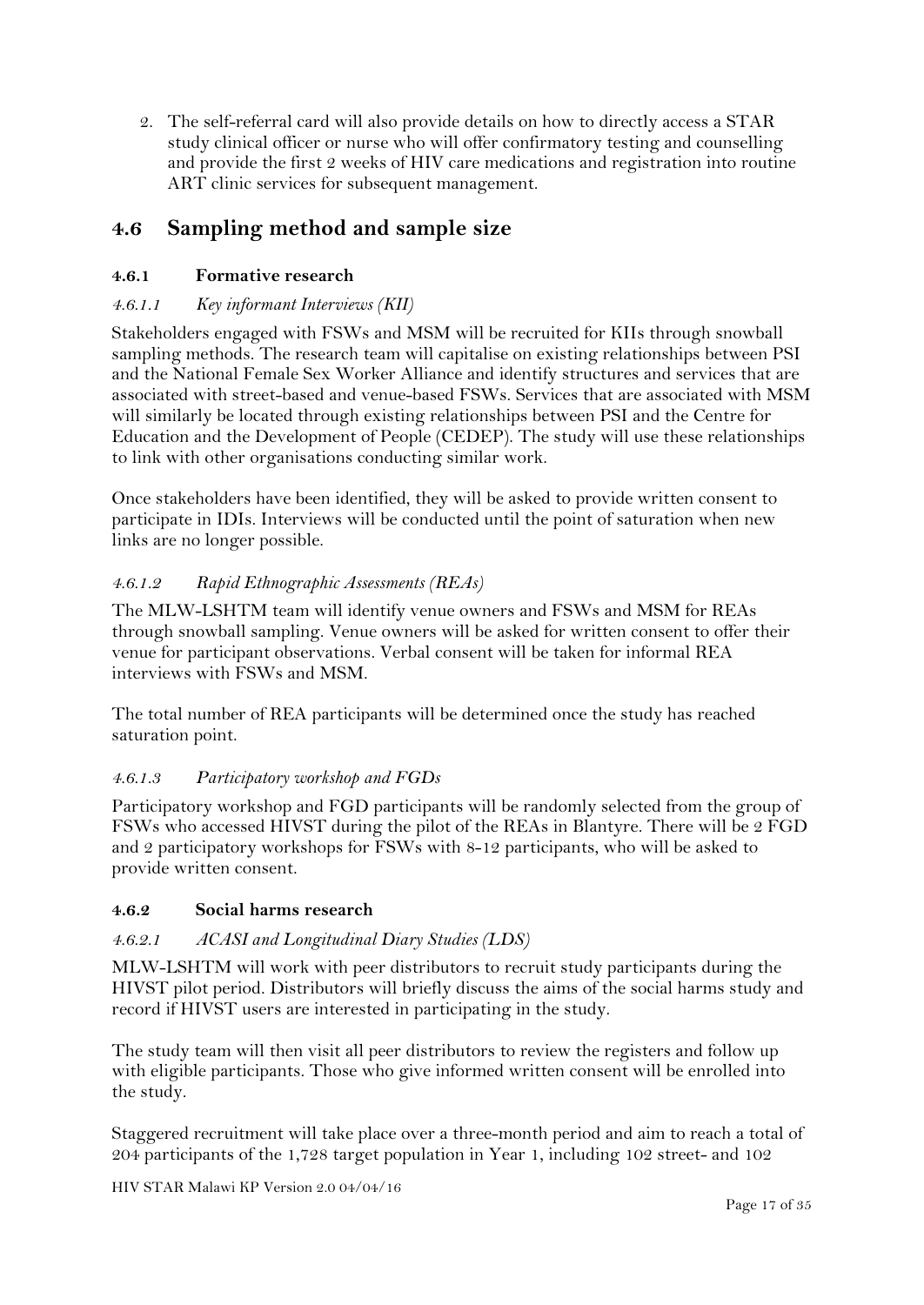2. The self-referral card will also provide details on how to directly access a STAR study clinical officer or nurse who will offer confirmatory testing and counselling and provide the first 2 weeks of HIV care medications and registration into routine ART clinic services for subsequent management.

## **4.6 Sampling method and sample size**

#### **4.6.1 Formative research**

#### *4.6.1.1 Key informant Interviews (KII)*

Stakeholders engaged with FSWs and MSM will be recruited for KIIs through snowball sampling methods. The research team will capitalise on existing relationships between PSI and the National Female Sex Worker Alliance and identify structures and services that are associated with street-based and venue-based FSWs. Services that are associated with MSM will similarly be located through existing relationships between PSI and the Centre for Education and the Development of People (CEDEP). The study will use these relationships to link with other organisations conducting similar work.

Once stakeholders have been identified, they will be asked to provide written consent to participate in IDIs. Interviews will be conducted until the point of saturation when new links are no longer possible.

#### *4.6.1.2 Rapid Ethnographic Assessments (REAs)*

The MLW-LSHTM team will identify venue owners and FSWs and MSM for REAs through snowball sampling. Venue owners will be asked for written consent to offer their venue for participant observations. Verbal consent will be taken for informal REA interviews with FSWs and MSM.

The total number of REA participants will be determined once the study has reached saturation point.

#### *4.6.1.3 Participatory workshop and FGDs*

Participatory workshop and FGD participants will be randomly selected from the group of FSWs who accessed HIVST during the pilot of the REAs in Blantyre. There will be 2 FGD and 2 participatory workshops for FSWs with 8-12 participants, who will be asked to provide written consent.

#### **4.6.2 Social harms research**

#### *4.6.2.1 ACASI and Longitudinal Diary Studies (LDS)*

MLW-LSHTM will work with peer distributors to recruit study participants during the HIVST pilot period. Distributors will briefly discuss the aims of the social harms study and record if HIVST users are interested in participating in the study.

The study team will then visit all peer distributors to review the registers and follow up with eligible participants. Those who give informed written consent will be enrolled into the study.

Staggered recruitment will take place over a three-month period and aim to reach a total of 204 participants of the 1,728 target population in Year 1, including 102 street- and 102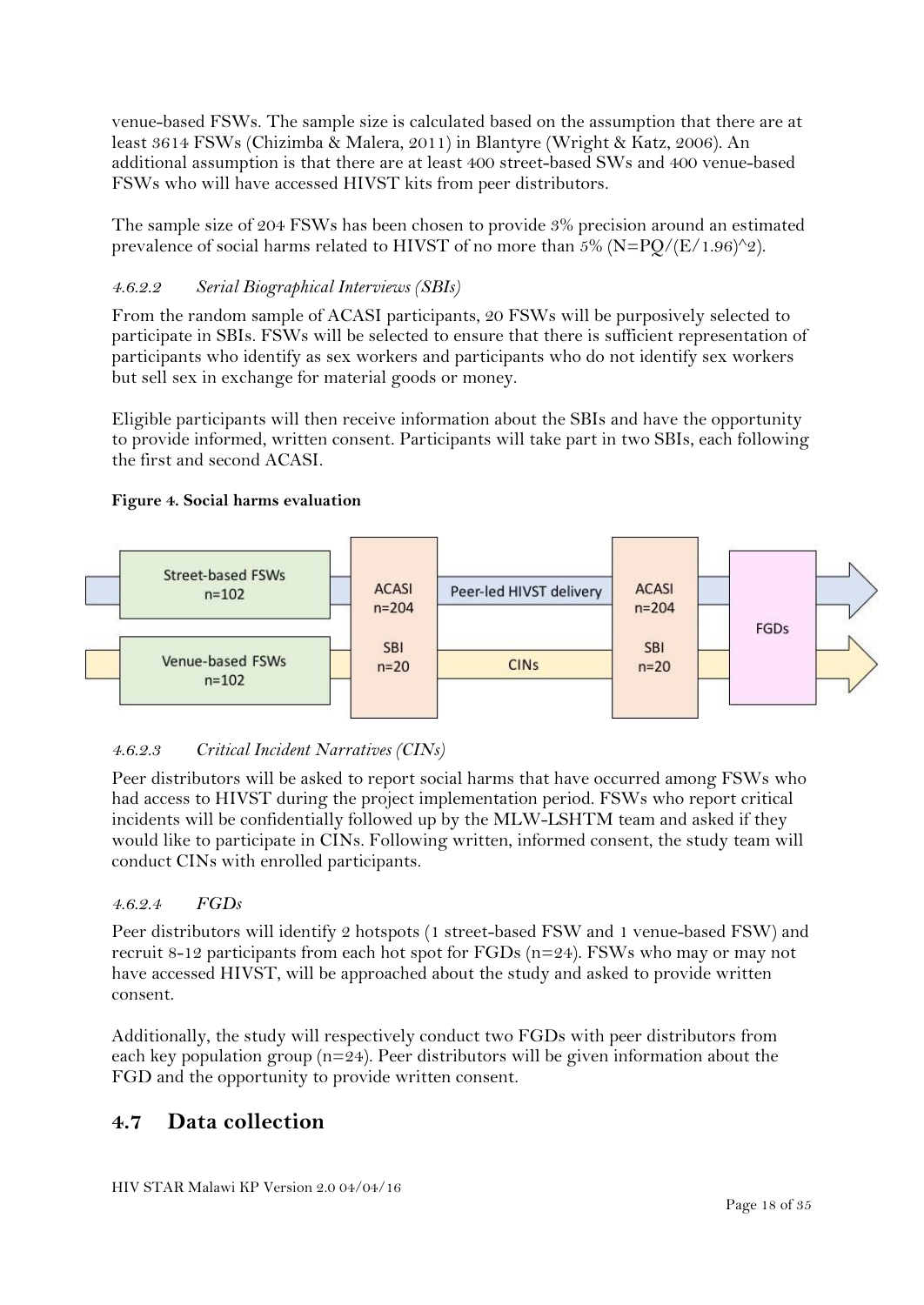venue-based FSWs. The sample size is calculated based on the assumption that there are at least 3614 FSWs (Chizimba & Malera, 2011) in Blantyre (Wright & Katz, 2006). An additional assumption is that there are at least 400 street-based SWs and 400 venue-based FSWs who will have accessed HIVST kits from peer distributors.

The sample size of 204 FSWs has been chosen to provide 3% precision around an estimated prevalence of social harms related to HIVST of no more than  $5\%$  (N=PO/(E/1.96)^2).

#### *4.6.2.2 Serial Biographical Interviews (SBIs)*

From the random sample of ACASI participants, 20 FSWs will be purposively selected to participate in SBIs. FSWs will be selected to ensure that there is sufficient representation of participants who identify as sex workers and participants who do not identify sex workers but sell sex in exchange for material goods or money.

Eligible participants will then receive information about the SBIs and have the opportunity to provide informed, written consent. Participants will take part in two SBIs, each following the first and second ACASI.

#### **Figure 4. Social harms evaluation**



#### *4.6.2.3 Critical Incident Narratives (CINs)*

Peer distributors will be asked to report social harms that have occurred among FSWs who had access to HIVST during the project implementation period. FSWs who report critical incidents will be confidentially followed up by the MLW-LSHTM team and asked if they would like to participate in CINs. Following written, informed consent, the study team will conduct CINs with enrolled participants.

#### *4.6.2.4 FGDs*

Peer distributors will identify 2 hotspots (1 street-based FSW and 1 venue-based FSW) and recruit 8-12 participants from each hot spot for FGDs (n=24). FSWs who may or may not have accessed HIVST, will be approached about the study and asked to provide written consent.

Additionally, the study will respectively conduct two FGDs with peer distributors from each key population group ( $n=24$ ). Peer distributors will be given information about the FGD and the opportunity to provide written consent.

#### **4.7 Data collection**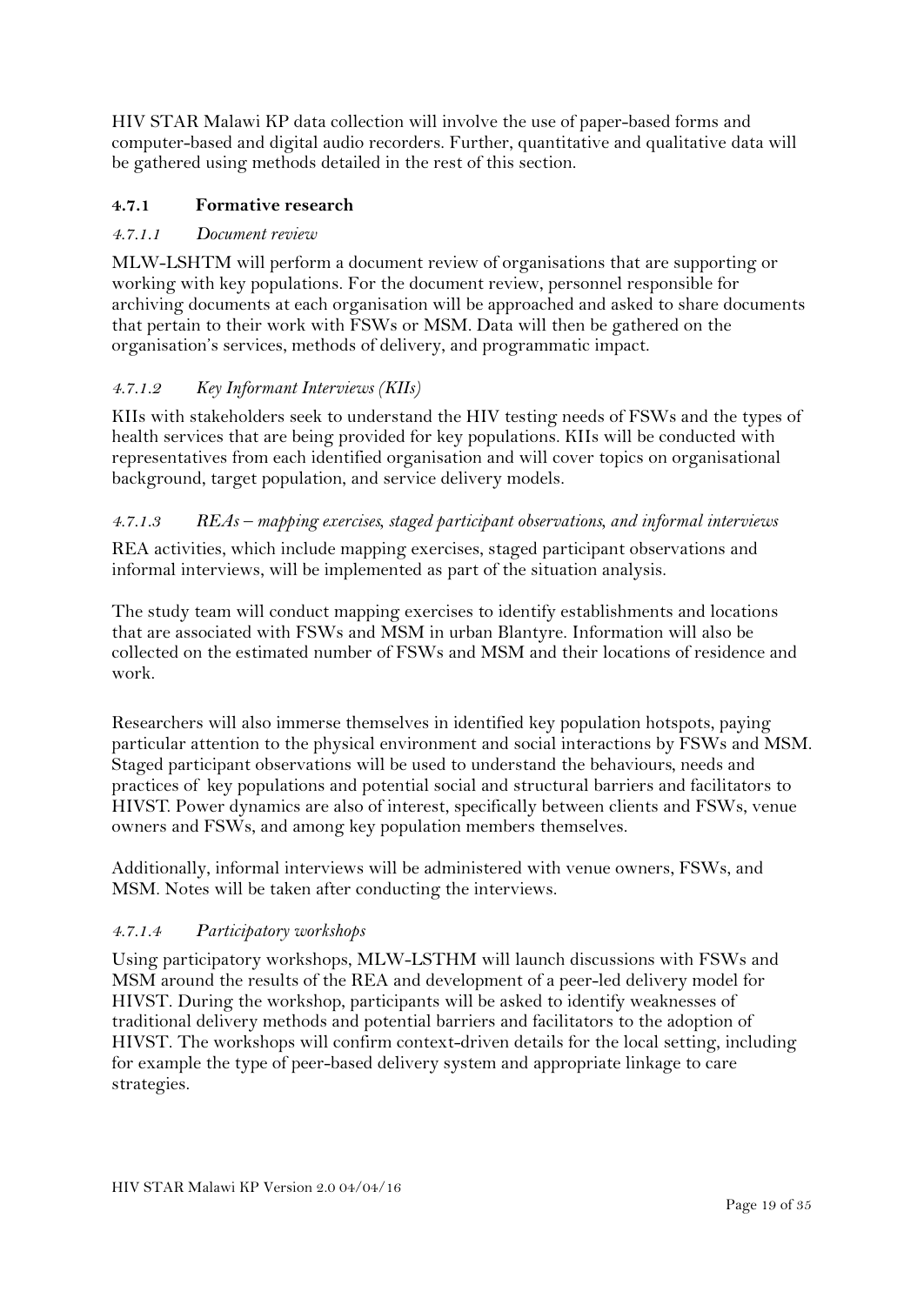HIV STAR Malawi KP data collection will involve the use of paper-based forms and computer-based and digital audio recorders. Further, quantitative and qualitative data will be gathered using methods detailed in the rest of this section.

#### **4.7.1 Formative research**

#### *4.7.1.1 Document review*

MLW-LSHTM will perform a document review of organisations that are supporting or working with key populations. For the document review, personnel responsible for archiving documents at each organisation will be approached and asked to share documents that pertain to their work with FSWs or MSM. Data will then be gathered on the organisation's services, methods of delivery, and programmatic impact.

#### *4.7.1.2 Key Informant Interviews (KIIs)*

KIIs with stakeholders seek to understand the HIV testing needs of FSWs and the types of health services that are being provided for key populations. KIIs will be conducted with representatives from each identified organisation and will cover topics on organisational background, target population, and service delivery models.

#### *4.7.1.3 REAs – mapping exercises, staged participant observations, and informal interviews*

REA activities, which include mapping exercises, staged participant observations and informal interviews, will be implemented as part of the situation analysis.

The study team will conduct mapping exercises to identify establishments and locations that are associated with FSWs and MSM in urban Blantyre. Information will also be collected on the estimated number of FSWs and MSM and their locations of residence and work.

Researchers will also immerse themselves in identified key population hotspots, paying particular attention to the physical environment and social interactions by FSWs and MSM. Staged participant observations will be used to understand the behaviours, needs and practices of key populations and potential social and structural barriers and facilitators to HIVST. Power dynamics are also of interest, specifically between clients and FSWs, venue owners and FSWs, and among key population members themselves.

Additionally, informal interviews will be administered with venue owners, FSWs, and MSM. Notes will be taken after conducting the interviews.

#### *4.7.1.4 Participatory workshops*

Using participatory workshops, MLW-LSTHM will launch discussions with FSWs and MSM around the results of the REA and development of a peer-led delivery model for HIVST. During the workshop, participants will be asked to identify weaknesses of traditional delivery methods and potential barriers and facilitators to the adoption of HIVST. The workshops will confirm context-driven details for the local setting, including for example the type of peer-based delivery system and appropriate linkage to care strategies.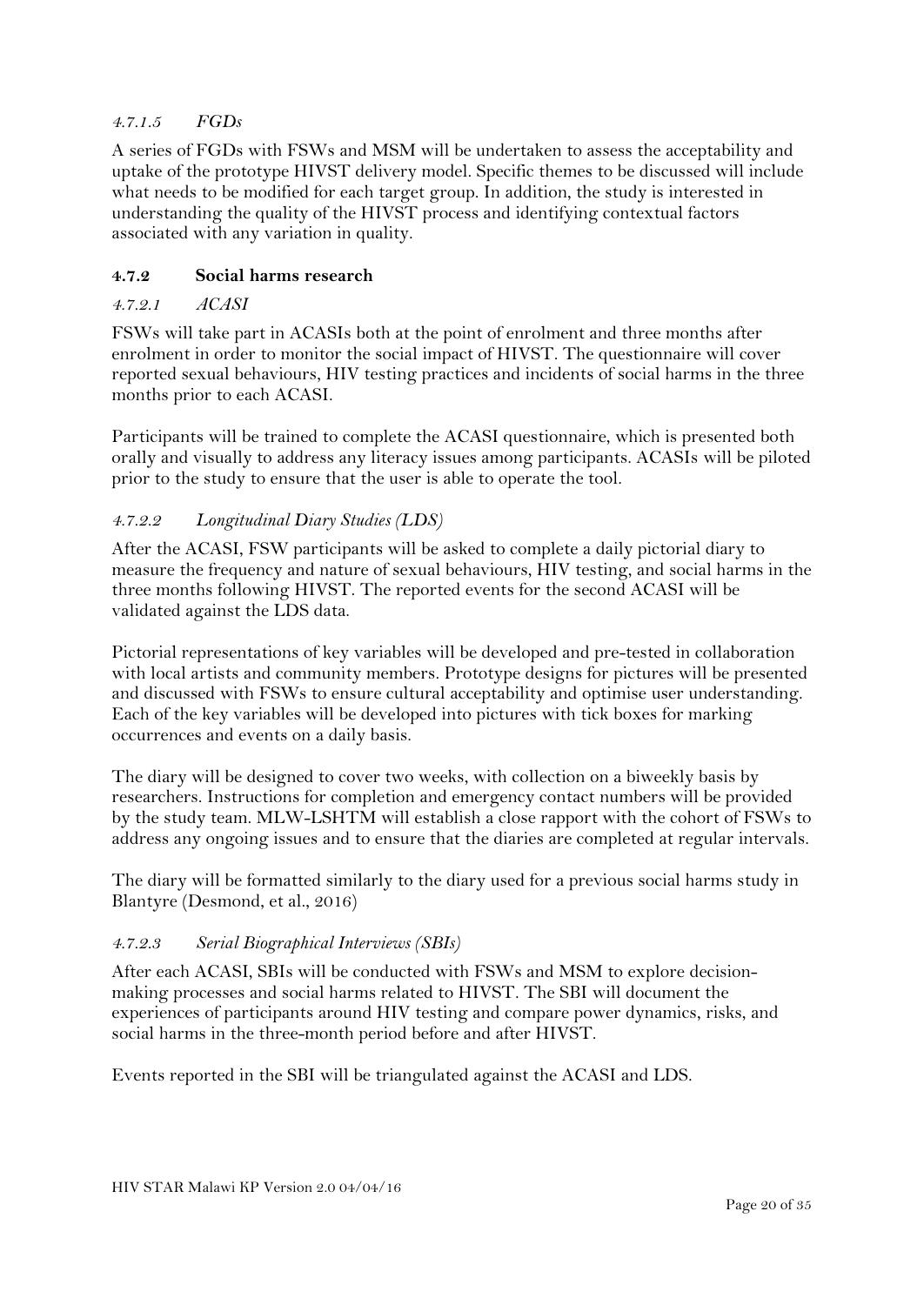#### *4.7.1.5 FGDs*

A series of FGDs with FSWs and MSM will be undertaken to assess the acceptability and uptake of the prototype HIVST delivery model. Specific themes to be discussed will include what needs to be modified for each target group. In addition, the study is interested in understanding the quality of the HIVST process and identifying contextual factors associated with any variation in quality.

#### **4.7.2 Social harms research**

#### *4.7.2.1 ACASI*

FSWs will take part in ACASIs both at the point of enrolment and three months after enrolment in order to monitor the social impact of HIVST. The questionnaire will cover reported sexual behaviours, HIV testing practices and incidents of social harms in the three months prior to each ACASI.

Participants will be trained to complete the ACASI questionnaire, which is presented both orally and visually to address any literacy issues among participants. ACASIs will be piloted prior to the study to ensure that the user is able to operate the tool.

#### *4.7.2.2 Longitudinal Diary Studies (LDS)*

After the ACASI, FSW participants will be asked to complete a daily pictorial diary to measure the frequency and nature of sexual behaviours, HIV testing, and social harms in the three months following HIVST. The reported events for the second ACASI will be validated against the LDS data.

Pictorial representations of key variables will be developed and pre-tested in collaboration with local artists and community members. Prototype designs for pictures will be presented and discussed with FSWs to ensure cultural acceptability and optimise user understanding. Each of the key variables will be developed into pictures with tick boxes for marking occurrences and events on a daily basis.

The diary will be designed to cover two weeks, with collection on a biweekly basis by researchers. Instructions for completion and emergency contact numbers will be provided by the study team. MLW-LSHTM will establish a close rapport with the cohort of FSWs to address any ongoing issues and to ensure that the diaries are completed at regular intervals.

The diary will be formatted similarly to the diary used for a previous social harms study in Blantyre (Desmond, et al., 2016)

#### *4.7.2.3 Serial Biographical Interviews (SBIs)*

After each ACASI, SBIs will be conducted with FSWs and MSM to explore decisionmaking processes and social harms related to HIVST. The SBI will document the experiences of participants around HIV testing and compare power dynamics, risks, and social harms in the three-month period before and after HIVST.

Events reported in the SBI will be triangulated against the ACASI and LDS.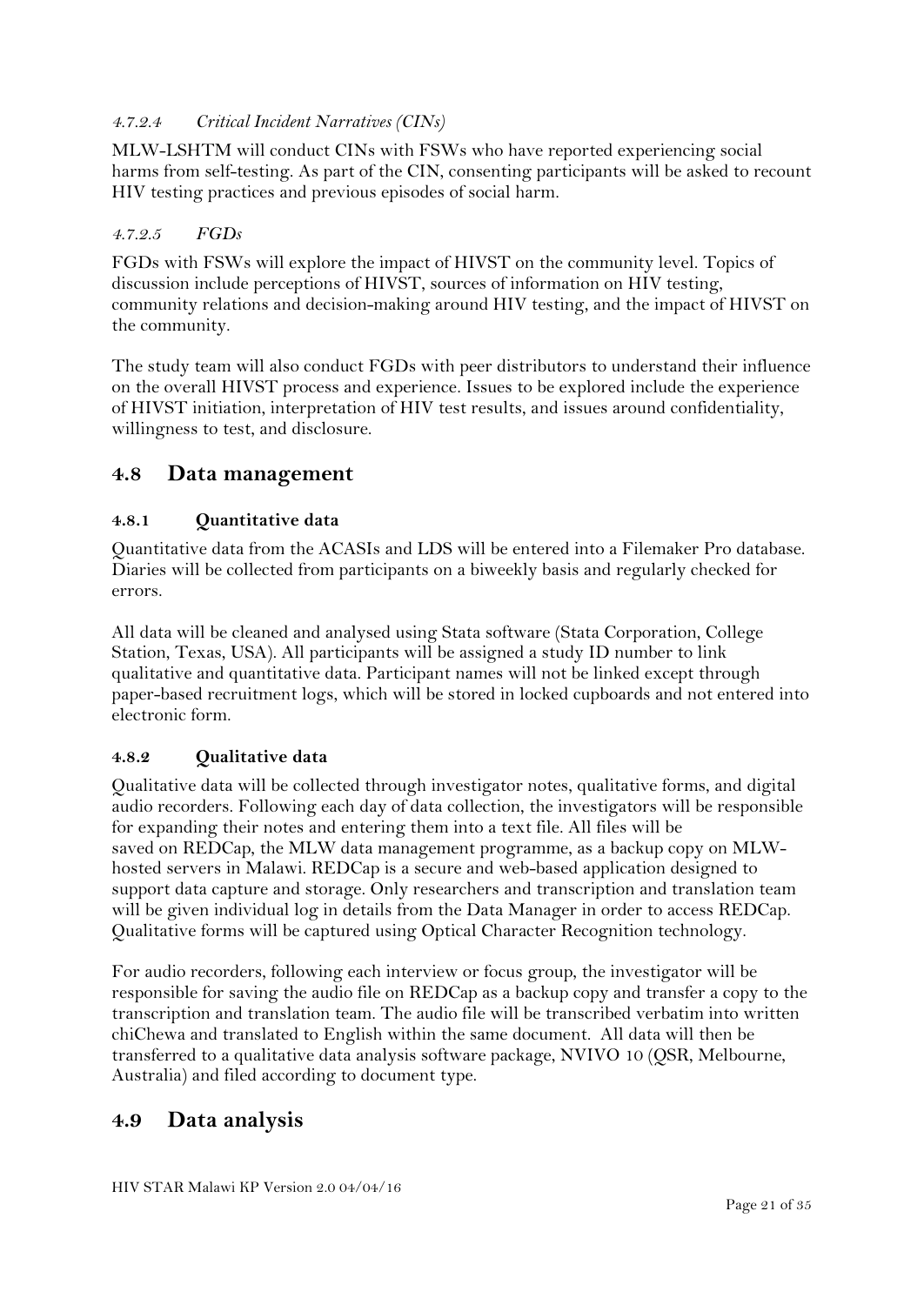#### *4.7.2.4 Critical Incident Narratives (CINs)*

MLW-LSHTM will conduct CINs with FSWs who have reported experiencing social harms from self-testing. As part of the CIN, consenting participants will be asked to recount HIV testing practices and previous episodes of social harm.

#### *4.7.2.5 FGDs*

FGDs with FSWs will explore the impact of HIVST on the community level. Topics of discussion include perceptions of HIVST, sources of information on HIV testing, community relations and decision-making around HIV testing, and the impact of HIVST on the community.

The study team will also conduct FGDs with peer distributors to understand their influence on the overall HIVST process and experience. Issues to be explored include the experience of HIVST initiation, interpretation of HIV test results, and issues around confidentiality, willingness to test, and disclosure.

#### **4.8 Data management**

#### **4.8.1 Quantitative data**

Quantitative data from the ACASIs and LDS will be entered into a Filemaker Pro database. Diaries will be collected from participants on a biweekly basis and regularly checked for errors.

All data will be cleaned and analysed using Stata software (Stata Corporation, College Station, Texas, USA). All participants will be assigned a study ID number to link qualitative and quantitative data. Participant names will not be linked except through paper-based recruitment logs, which will be stored in locked cupboards and not entered into electronic form.

#### **4.8.2 Qualitative data**

Qualitative data will be collected through investigator notes, qualitative forms, and digital audio recorders. Following each day of data collection, the investigators will be responsible for expanding their notes and entering them into a text file. All files will be saved on REDCap, the MLW data management programme, as a backup copy on MLWhosted servers in Malawi. REDCap is a secure and web-based application designed to support data capture and storage. Only researchers and transcription and translation team will be given individual log in details from the Data Manager in order to access REDCap. Qualitative forms will be captured using Optical Character Recognition technology.

For audio recorders, following each interview or focus group, the investigator will be responsible for saving the audio file on REDCap as a backup copy and transfer a copy to the transcription and translation team. The audio file will be transcribed verbatim into written chiChewa and translated to English within the same document. All data will then be transferred to a qualitative data analysis software package, NVIVO 10 (QSR, Melbourne, Australia) and filed according to document type.

#### **4.9 Data analysis**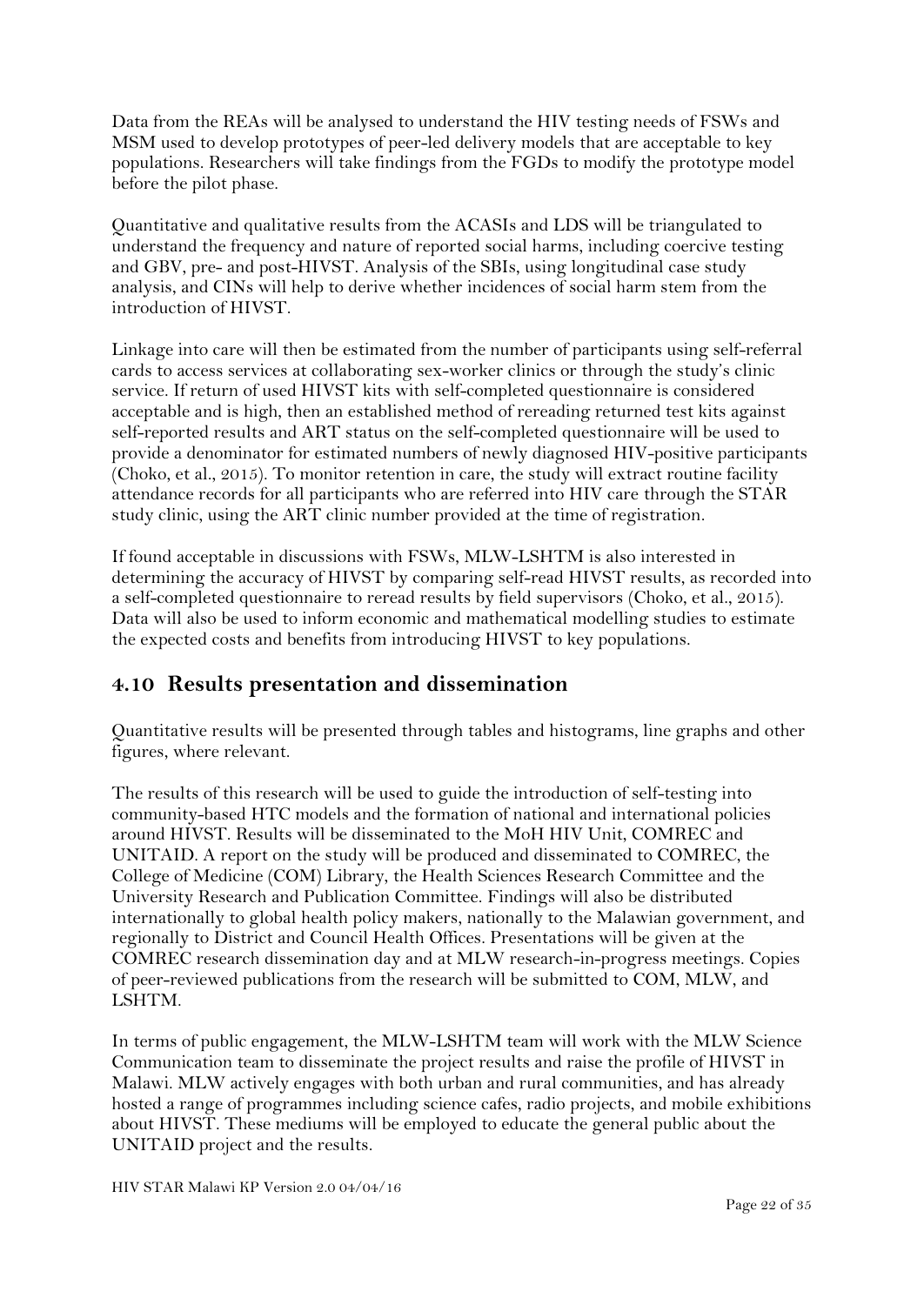Data from the REAs will be analysed to understand the HIV testing needs of FSWs and MSM used to develop prototypes of peer-led delivery models that are acceptable to key populations. Researchers will take findings from the FGDs to modify the prototype model before the pilot phase.

Quantitative and qualitative results from the ACASIs and LDS will be triangulated to understand the frequency and nature of reported social harms, including coercive testing and GBV, pre- and post-HIVST. Analysis of the SBIs, using longitudinal case study analysis, and CINs will help to derive whether incidences of social harm stem from the introduction of HIVST.

Linkage into care will then be estimated from the number of participants using self-referral cards to access services at collaborating sex-worker clinics or through the study's clinic service. If return of used HIVST kits with self-completed questionnaire is considered acceptable and is high, then an established method of rereading returned test kits against self-reported results and ART status on the self-completed questionnaire will be used to provide a denominator for estimated numbers of newly diagnosed HIV-positive participants (Choko, et al., 2015). To monitor retention in care, the study will extract routine facility attendance records for all participants who are referred into HIV care through the STAR study clinic, using the ART clinic number provided at the time of registration.

If found acceptable in discussions with FSWs, MLW-LSHTM is also interested in determining the accuracy of HIVST by comparing self-read HIVST results, as recorded into a self-completed questionnaire to reread results by field supervisors (Choko, et al., 2015). Data will also be used to inform economic and mathematical modelling studies to estimate the expected costs and benefits from introducing HIVST to key populations.

## **4.10 Results presentation and dissemination**

Quantitative results will be presented through tables and histograms, line graphs and other figures, where relevant.

The results of this research will be used to guide the introduction of self-testing into community-based HTC models and the formation of national and international policies around HIVST. Results will be disseminated to the MoH HIV Unit, COMREC and UNITAID. A report on the study will be produced and disseminated to COMREC, the College of Medicine (COM) Library, the Health Sciences Research Committee and the University Research and Publication Committee. Findings will also be distributed internationally to global health policy makers, nationally to the Malawian government, and regionally to District and Council Health Offices. Presentations will be given at the COMREC research dissemination day and at MLW research-in-progress meetings. Copies of peer-reviewed publications from the research will be submitted to COM, MLW, and LSHTM.

In terms of public engagement, the MLW-LSHTM team will work with the MLW Science Communication team to disseminate the project results and raise the profile of HIVST in Malawi. MLW actively engages with both urban and rural communities, and has already hosted a range of programmes including science cafes, radio projects, and mobile exhibitions about HIVST. These mediums will be employed to educate the general public about the UNITAID project and the results.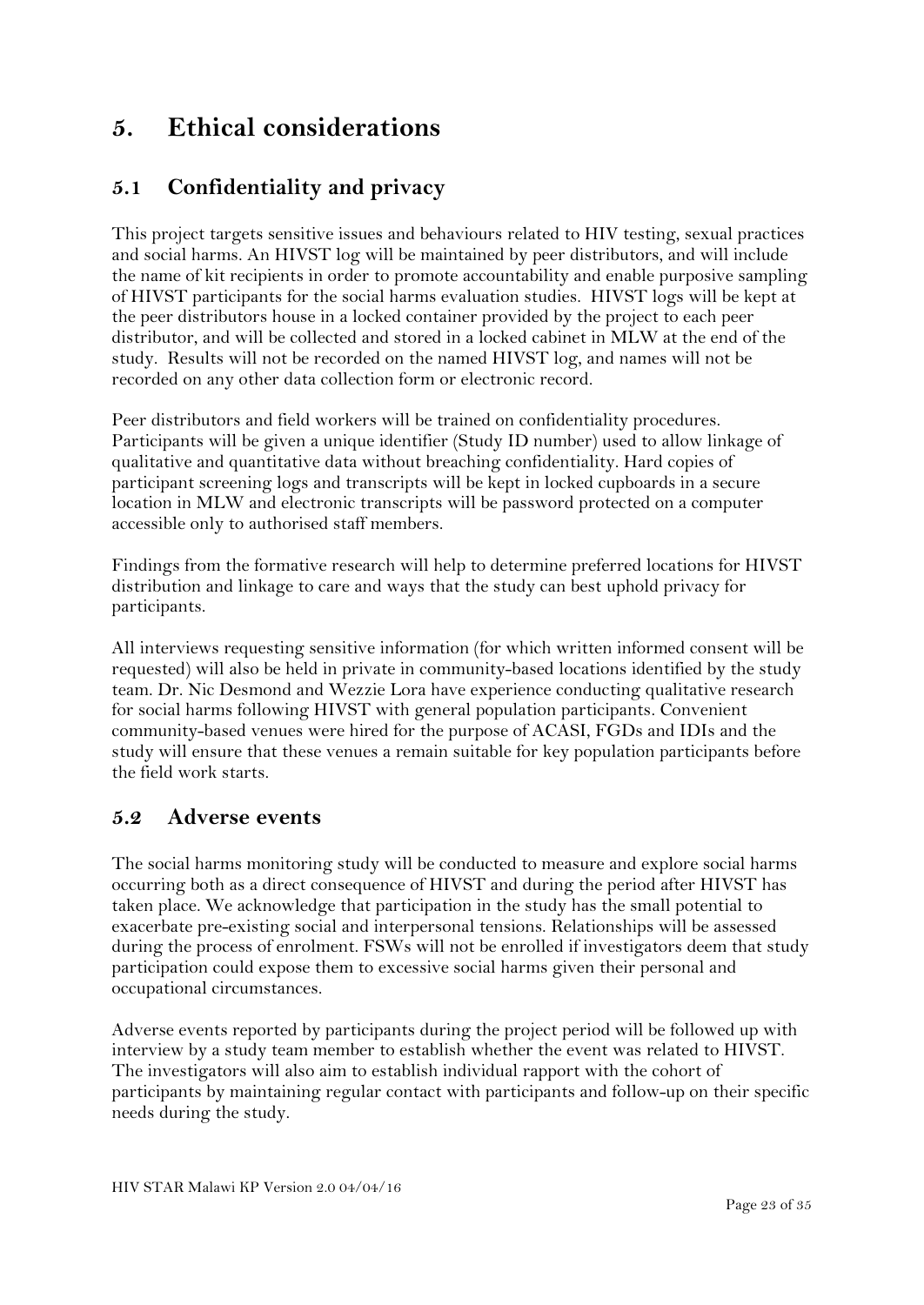## <span id="page-22-0"></span>**5. Ethical considerations**

## **5.1 Confidentiality and privacy**

This project targets sensitive issues and behaviours related to HIV testing, sexual practices and social harms. An HIVST log will be maintained by peer distributors, and will include the name of kit recipients in order to promote accountability and enable purposive sampling of HIVST participants for the social harms evaluation studies. HIVST logs will be kept at the peer distributors house in a locked container provided by the project to each peer distributor, and will be collected and stored in a locked cabinet in MLW at the end of the study. Results will not be recorded on the named HIVST log, and names will not be recorded on any other data collection form or electronic record.

Peer distributors and field workers will be trained on confidentiality procedures. Participants will be given a unique identifier (Study ID number) used to allow linkage of qualitative and quantitative data without breaching confidentiality. Hard copies of participant screening logs and transcripts will be kept in locked cupboards in a secure location in MLW and electronic transcripts will be password protected on a computer accessible only to authorised staff members.

Findings from the formative research will help to determine preferred locations for HIVST distribution and linkage to care and ways that the study can best uphold privacy for participants.

All interviews requesting sensitive information (for which written informed consent will be requested) will also be held in private in community-based locations identified by the study team. Dr. Nic Desmond and Wezzie Lora have experience conducting qualitative research for social harms following HIVST with general population participants. Convenient community-based venues were hired for the purpose of ACASI, FGDs and IDIs and the study will ensure that these venues a remain suitable for key population participants before the field work starts.

#### **5.2 Adverse events**

The social harms monitoring study will be conducted to measure and explore social harms occurring both as a direct consequence of HIVST and during the period after HIVST has taken place. We acknowledge that participation in the study has the small potential to exacerbate pre-existing social and interpersonal tensions. Relationships will be assessed during the process of enrolment. FSWs will not be enrolled if investigators deem that study participation could expose them to excessive social harms given their personal and occupational circumstances.

Adverse events reported by participants during the project period will be followed up with interview by a study team member to establish whether the event was related to HIVST. The investigators will also aim to establish individual rapport with the cohort of participants by maintaining regular contact with participants and follow-up on their specific needs during the study.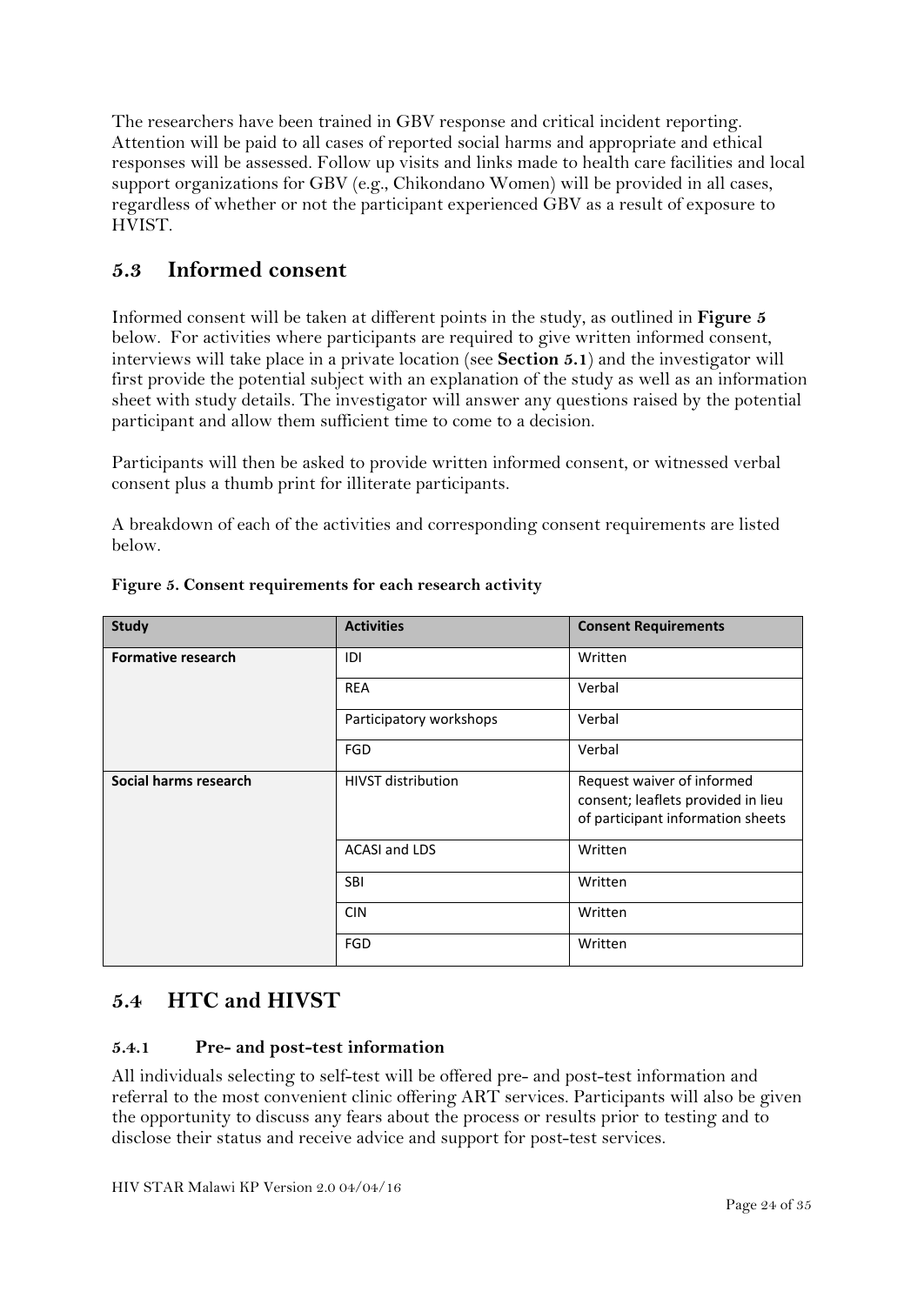The researchers have been trained in GBV response and critical incident reporting. Attention will be paid to all cases of reported social harms and appropriate and ethical responses will be assessed. Follow up visits and links made to health care facilities and local support organizations for GBV (e.g., Chikondano Women) will be provided in all cases, regardless of whether or not the participant experienced GBV as a result of exposure to HVIST.

## **5.3 Informed consent**

Informed consent will be taken at different points in the study, as outlined in **Figure 5** below. For activities where participants are required to give written informed consent, interviews will take place in a private location (see **Section 5.1**) and the investigator will first provide the potential subject with an explanation of the study as well as an information sheet with study details. The investigator will answer any questions raised by the potential participant and allow them sufficient time to come to a decision.

Participants will then be asked to provide written informed consent, or witnessed verbal consent plus a thumb print for illiterate participants.

A breakdown of each of the activities and corresponding consent requirements are listed below.

| <b>Study</b>              | <b>Activities</b>         | <b>Consent Requirements</b>                                                                           |
|---------------------------|---------------------------|-------------------------------------------------------------------------------------------------------|
| <b>Formative research</b> | IDI                       | Written                                                                                               |
|                           | <b>REA</b>                | Verbal                                                                                                |
|                           | Participatory workshops   | Verbal                                                                                                |
|                           | FGD                       | Verbal                                                                                                |
| Social harms research     | <b>HIVST</b> distribution | Request waiver of informed<br>consent; leaflets provided in lieu<br>of participant information sheets |
|                           | <b>ACASI and LDS</b>      | Written                                                                                               |
|                           | <b>SBI</b>                | Written                                                                                               |
|                           | <b>CIN</b>                | Written                                                                                               |
|                           | FGD                       | Written                                                                                               |

**Figure 5. Consent requirements for each research activity**

### **5.4 HTC and HIVST**

#### **5.4.1 Pre- and post-test information**

All individuals selecting to self-test will be offered pre- and post-test information and referral to the most convenient clinic offering ART services. Participants will also be given the opportunity to discuss any fears about the process or results prior to testing and to disclose their status and receive advice and support for post-test services.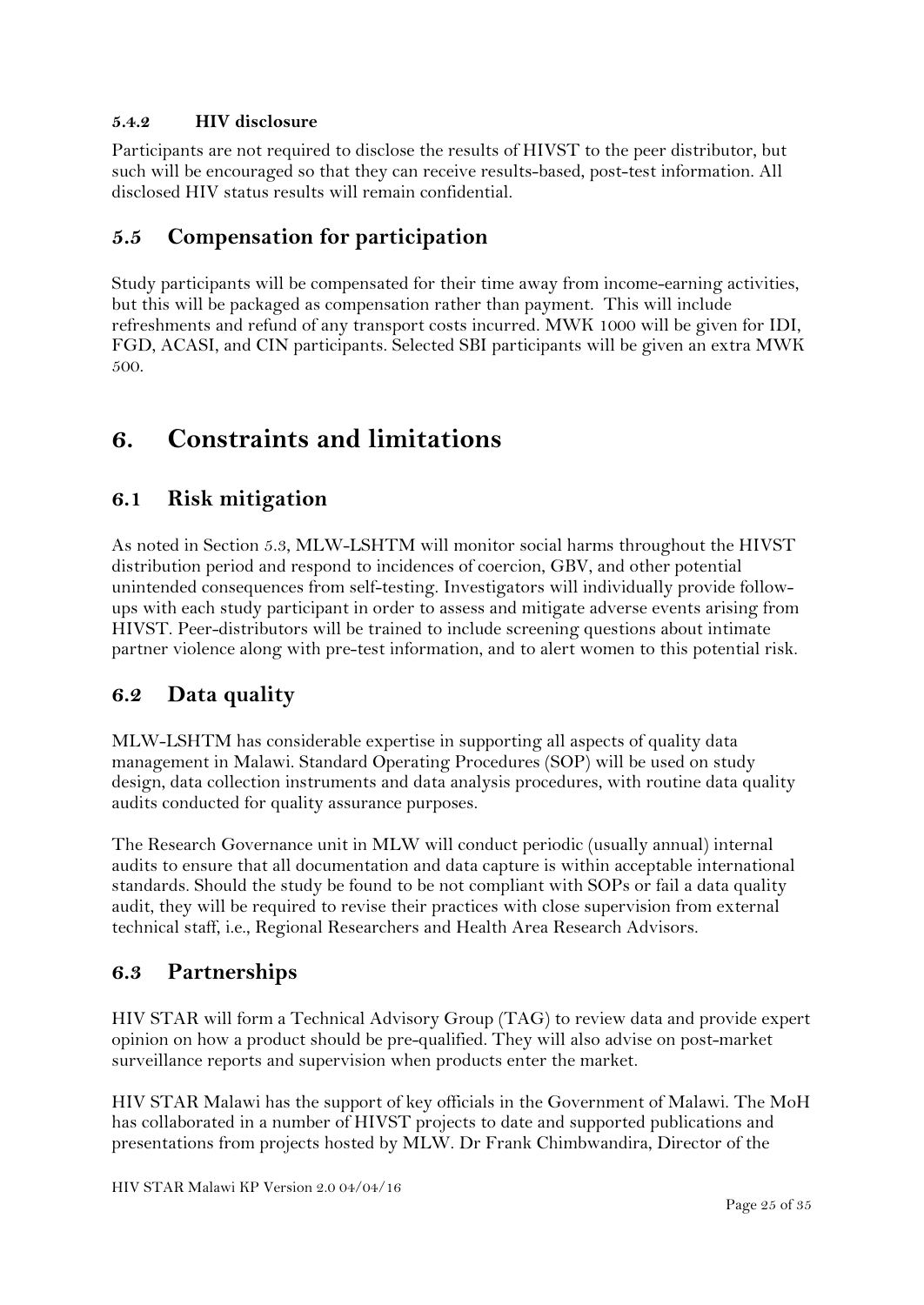#### **5.4.2 HIV disclosure**

Participants are not required to disclose the results of HIVST to the peer distributor, but such will be encouraged so that they can receive results-based, post-test information. All disclosed HIV status results will remain confidential.

### **5.5 Compensation for participation**

Study participants will be compensated for their time away from income-earning activities, but this will be packaged as compensation rather than payment. This will include refreshments and refund of any transport costs incurred. MWK 1000 will be given for IDI, FGD, ACASI, and CIN participants. Selected SBI participants will be given an extra MWK 500.

## <span id="page-24-0"></span>**6. Constraints and limitations**

### **6.1 Risk mitigation**

As noted in Section 5.3, MLW-LSHTM will monitor social harms throughout the HIVST distribution period and respond to incidences of coercion, GBV, and other potential unintended consequences from self-testing. Investigators will individually provide followups with each study participant in order to assess and mitigate adverse events arising from HIVST. Peer-distributors will be trained to include screening questions about intimate partner violence along with pre-test information, and to alert women to this potential risk.

### **6.2 Data quality**

MLW-LSHTM has considerable expertise in supporting all aspects of quality data management in Malawi. Standard Operating Procedures (SOP) will be used on study design, data collection instruments and data analysis procedures, with routine data quality audits conducted for quality assurance purposes.

The Research Governance unit in MLW will conduct periodic (usually annual) internal audits to ensure that all documentation and data capture is within acceptable international standards. Should the study be found to be not compliant with SOPs or fail a data quality audit, they will be required to revise their practices with close supervision from external technical staff, i.e., Regional Researchers and Health Area Research Advisors.

### **6.3 Partnerships**

HIV STAR will form a Technical Advisory Group (TAG) to review data and provide expert opinion on how a product should be pre-qualified. They will also advise on post-market surveillance reports and supervision when products enter the market.

HIV STAR Malawi has the support of key officials in the Government of Malawi. The MoH has collaborated in a number of HIVST projects to date and supported publications and presentations from projects hosted by MLW. Dr Frank Chimbwandira, Director of the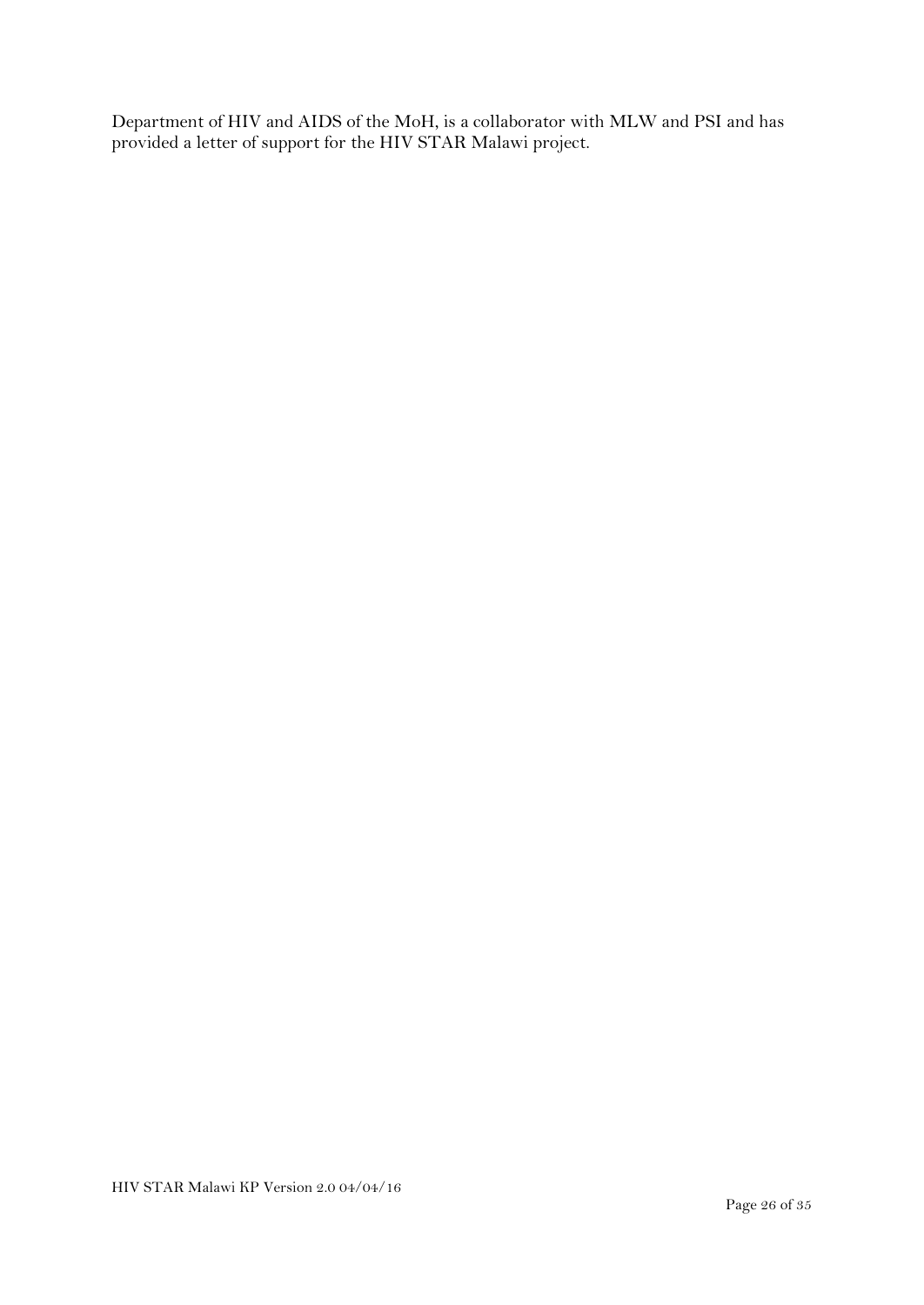Department of HIV and AIDS of the MoH, is a collaborator with MLW and PSI and has provided a letter of support for the HIV STAR Malawi project.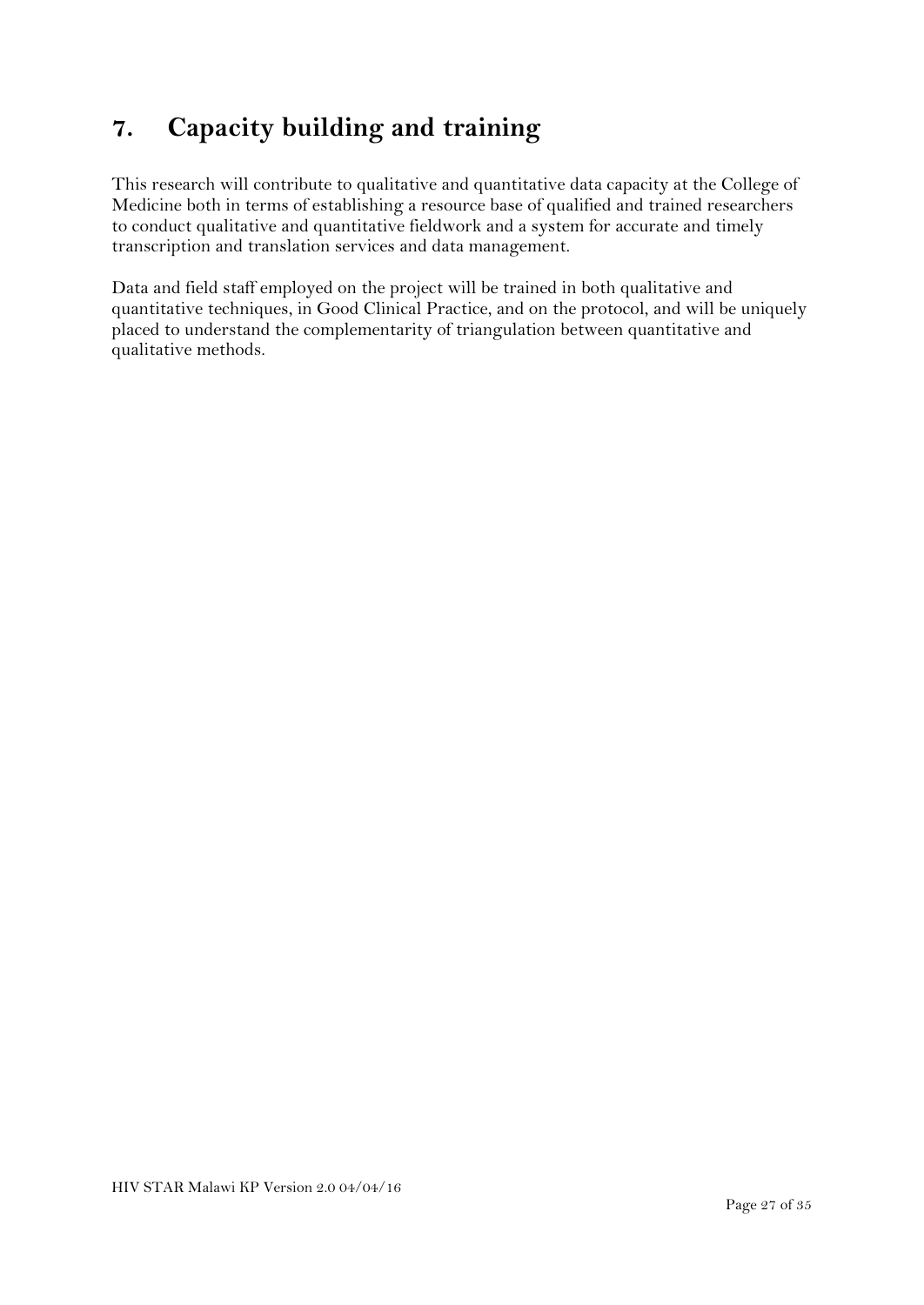## <span id="page-26-0"></span>**7. Capacity building and training**

This research will contribute to qualitative and quantitative data capacity at the College of Medicine both in terms of establishing a resource base of qualified and trained researchers to conduct qualitative and quantitative fieldwork and a system for accurate and timely transcription and translation services and data management.

Data and field staff employed on the project will be trained in both qualitative and quantitative techniques, in Good Clinical Practice, and on the protocol, and will be uniquely placed to understand the complementarity of triangulation between quantitative and qualitative methods.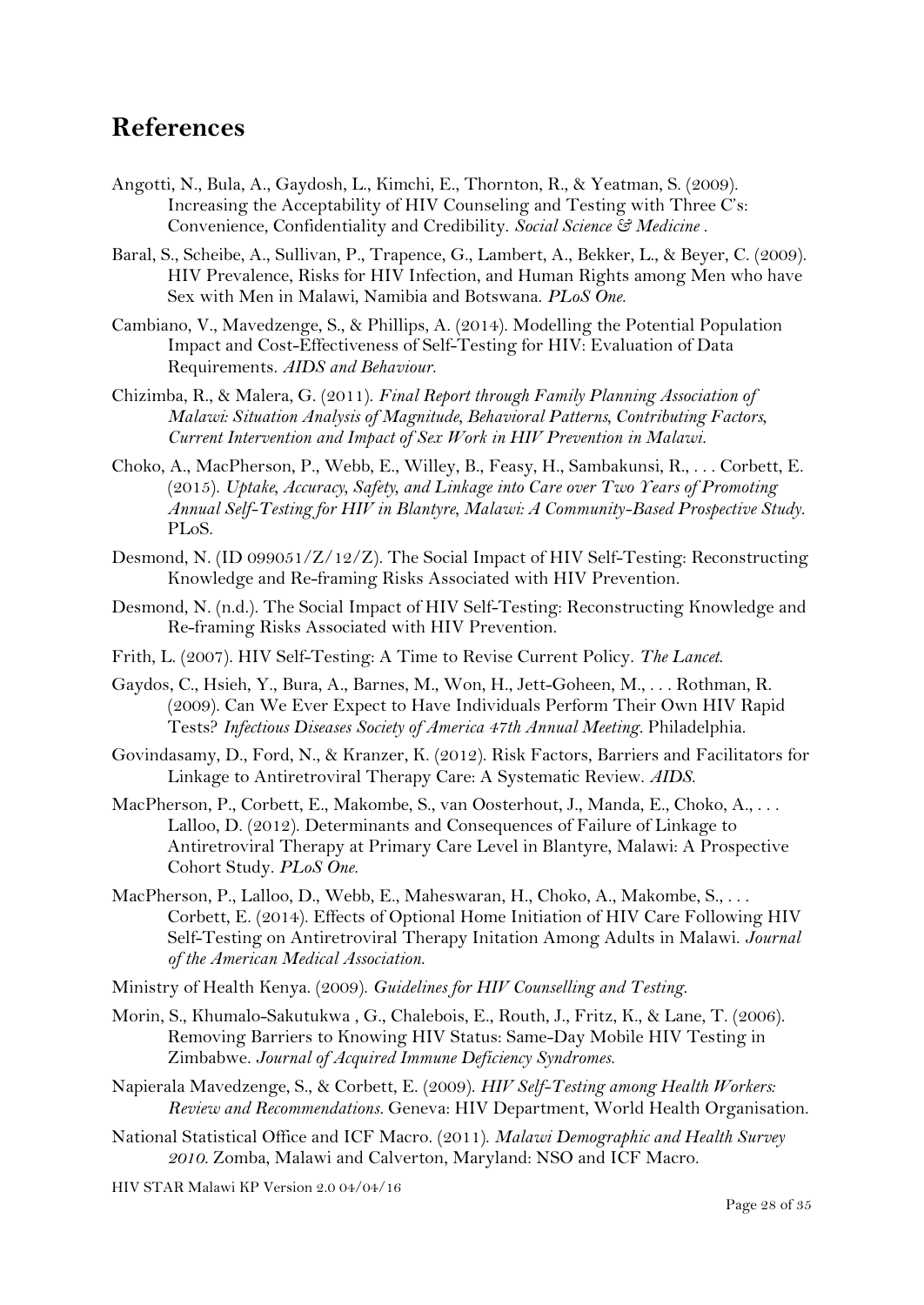## <span id="page-27-0"></span>**References**

- Angotti, N., Bula, A., Gaydosh, L., Kimchi, E., Thornton, R., & Yeatman, S. (2009). Increasing the Acceptability of HIV Counseling and Testing with Three C's: Convenience, Confidentiality and Credibility. *Social Science & Medicine* .
- Baral, S., Scheibe, A., Sullivan, P., Trapence, G., Lambert, A., Bekker, L., & Beyer, C. (2009). HIV Prevalence, Risks for HIV Infection, and Human Rights among Men who have Sex with Men in Malawi, Namibia and Botswana. *PLoS One*.
- Cambiano, V., Mavedzenge, S., & Phillips, A. (2014). Modelling the Potential Population Impact and Cost-Effectiveness of Self-Testing for HIV: Evaluation of Data Requirements. *AIDS and Behaviour*.
- Chizimba, R., & Malera, G. (2011). *Final Report through Family Planning Association of Malawi: Situation Analysis of Magnitude, Behavioral Patterns, Contributing Factors, Current Intervention and Impact of Sex Work in HIV Prevention in Malawi.*
- Choko, A., MacPherson, P., Webb, E., Willey, B., Feasy, H., Sambakunsi, R., . . . Corbett, E. (2015). *Uptake, Accuracy, Safety, and Linkage into Care over Two Years of Promoting Annual Self-Testing for HIV in Blantyre, Malawi: A Community-Based Prospective Study.* PLoS.
- Desmond, N. (ID 099051/Z/12/Z). The Social Impact of HIV Self-Testing: Reconstructing Knowledge and Re-framing Risks Associated with HIV Prevention.
- Desmond, N. (n.d.). The Social Impact of HIV Self-Testing: Reconstructing Knowledge and Re-framing Risks Associated with HIV Prevention.
- Frith, L. (2007). HIV Self-Testing: A Time to Revise Current Policy. *The Lancet*.
- Gaydos, C., Hsieh, Y., Bura, A., Barnes, M., Won, H., Jett-Goheen, M., . . . Rothman, R. (2009). Can We Ever Expect to Have Individuals Perform Their Own HIV Rapid Tests? *Infectious Diseases Society of America 47th Annual Meeting.* Philadelphia.
- Govindasamy, D., Ford, N., & Kranzer, K. (2012). Risk Factors, Barriers and Facilitators for Linkage to Antiretroviral Therapy Care: A Systematic Review. *AIDS*.
- MacPherson, P., Corbett, E., Makombe, S., van Oosterhout, J., Manda, E., Choko, A., . . . Lalloo, D. (2012). Determinants and Consequences of Failure of Linkage to Antiretroviral Therapy at Primary Care Level in Blantyre, Malawi: A Prospective Cohort Study. *PLoS One*.
- MacPherson, P., Lalloo, D., Webb, E., Maheswaran, H., Choko, A., Makombe, S., . . . Corbett, E. (2014). Effects of Optional Home Initiation of HIV Care Following HIV Self-Testing on Antiretroviral Therapy Initation Among Adults in Malawi. *Journal of the American Medical Association*.
- Ministry of Health Kenya. (2009). *Guidelines for HIV Counselling and Testing.*
- Morin, S., Khumalo-Sakutukwa , G., Chalebois, E., Routh, J., Fritz, K., & Lane, T. (2006). Removing Barriers to Knowing HIV Status: Same-Day Mobile HIV Testing in Zimbabwe. *Journal of Acquired Immune Deficiency Syndromes*.
- Napierala Mavedzenge, S., & Corbett, E. (2009). *HIV Self-Testing among Health Workers: Review and Recommendations.* Geneva: HIV Department, World Health Organisation.
- National Statistical Office and ICF Macro. (2011). *Malawi Demographic and Health Survey 2010.* Zomba, Malawi and Calverton, Maryland: NSO and ICF Macro.

HIV STAR Malawi KP Version 2.0 04/04/16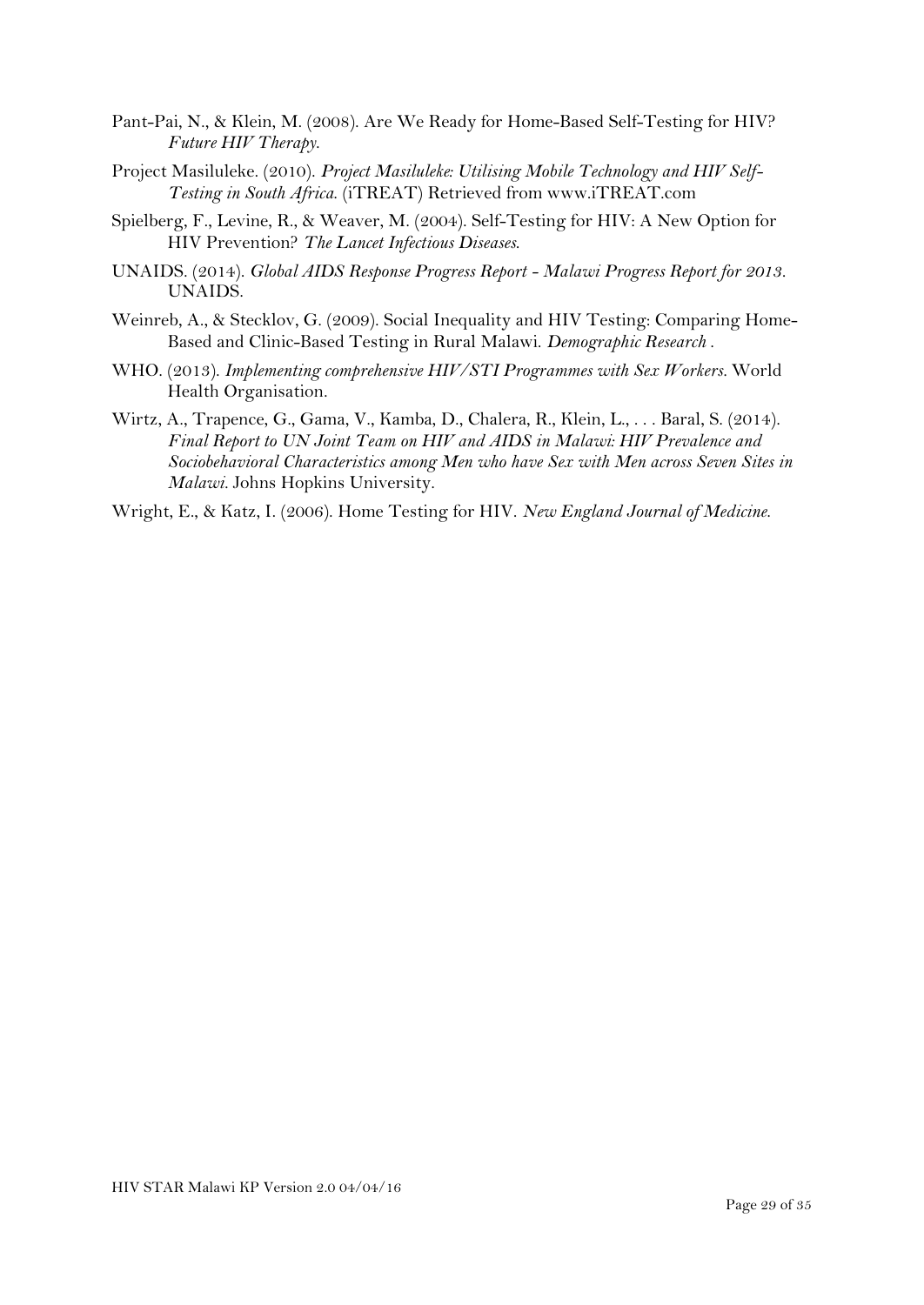- Pant-Pai, N., & Klein, M. (2008). Are We Ready for Home-Based Self-Testing for HIV? *Future HIV Therapy*.
- Project Masiluleke. (2010). *Project Masiluleke: Utilising Mobile Technology and HIV Self-Testing in South Africa*. (iTREAT) Retrieved from www.iTREAT.com
- Spielberg, F., Levine, R., & Weaver, M. (2004). Self-Testing for HIV: A New Option for HIV Prevention? *The Lancet Infectious Diseases*.
- UNAIDS. (2014). *Global AIDS Response Progress Report - Malawi Progress Report for 2013.* UNAIDS.
- Weinreb, A., & Stecklov, G. (2009). Social Inequality and HIV Testing: Comparing Home-Based and Clinic-Based Testing in Rural Malawi. *Demographic Research* .
- WHO. (2013). *Implementing comprehensive HIV/STI Programmes with Sex Workers.* World Health Organisation.
- Wirtz, A., Trapence, G., Gama, V., Kamba, D., Chalera, R., Klein, L., . . . Baral, S. (2014). *Final Report to UN Joint Team on HIV and AIDS in Malawi: HIV Prevalence and Sociobehavioral Characteristics among Men who have Sex with Men across Seven Sites in Malawi.* Johns Hopkins University.
- Wright, E., & Katz, I. (2006). Home Testing for HIV. *New England Journal of Medicine*.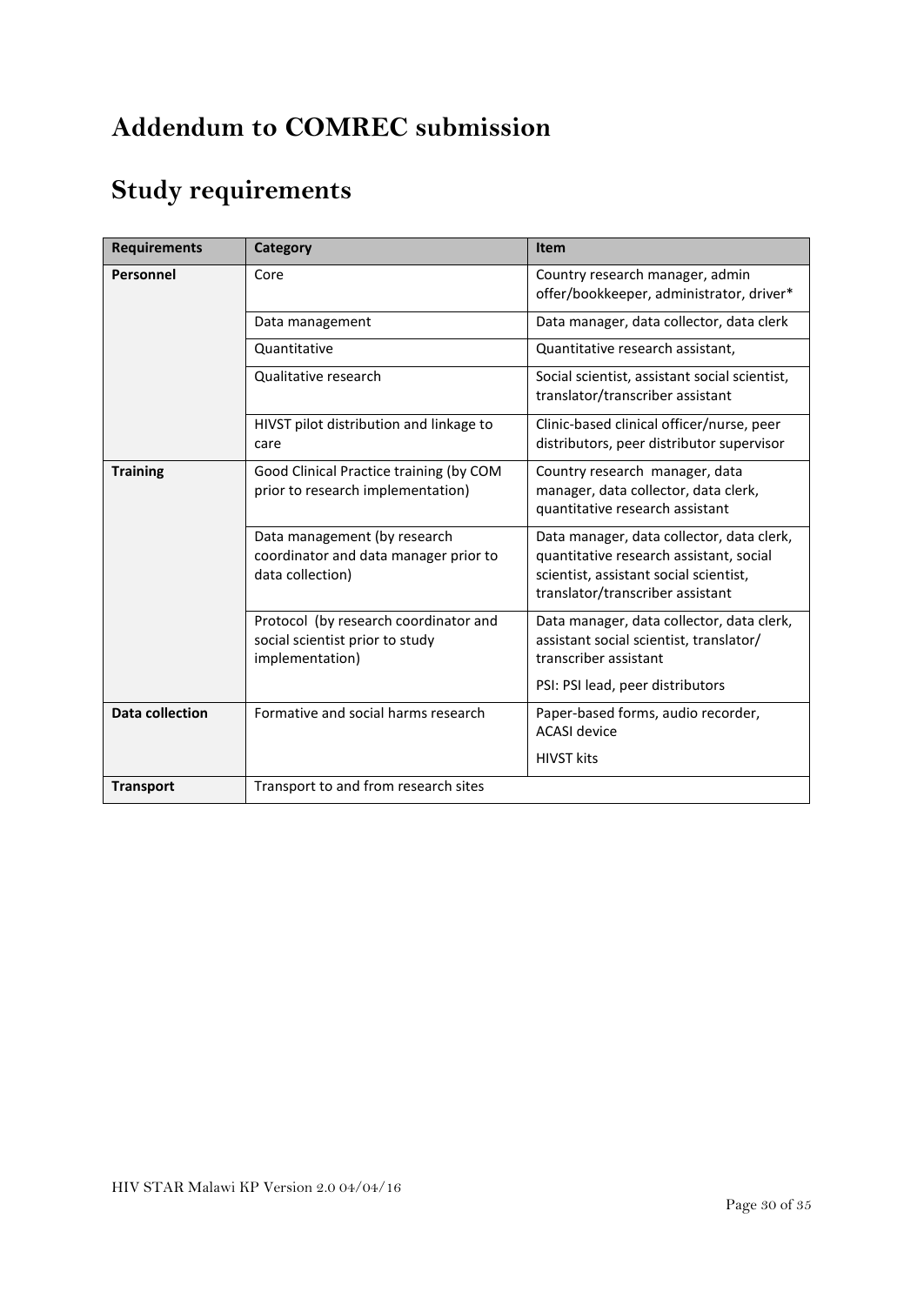## <span id="page-29-0"></span>**Addendum to COMREC submission**

## **Study requirements**

| <b>Requirements</b>    | Category                                                                                    | Item                                                                                                                                                               |
|------------------------|---------------------------------------------------------------------------------------------|--------------------------------------------------------------------------------------------------------------------------------------------------------------------|
| Personnel              | Core                                                                                        | Country research manager, admin<br>offer/bookkeeper, administrator, driver*                                                                                        |
|                        | Data management                                                                             | Data manager, data collector, data clerk                                                                                                                           |
|                        | Quantitative                                                                                | Quantitative research assistant,                                                                                                                                   |
|                        | Qualitative research                                                                        | Social scientist, assistant social scientist,<br>translator/transcriber assistant                                                                                  |
|                        | HIVST pilot distribution and linkage to<br>care                                             | Clinic-based clinical officer/nurse, peer<br>distributors, peer distributor supervisor                                                                             |
| <b>Training</b>        | Good Clinical Practice training (by COM<br>prior to research implementation)                | Country research manager, data<br>manager, data collector, data clerk,<br>quantitative research assistant                                                          |
|                        | Data management (by research<br>coordinator and data manager prior to<br>data collection)   | Data manager, data collector, data clerk,<br>quantitative research assistant, social<br>scientist, assistant social scientist,<br>translator/transcriber assistant |
|                        | Protocol (by research coordinator and<br>social scientist prior to study<br>implementation) | Data manager, data collector, data clerk,<br>assistant social scientist, translator/<br>transcriber assistant<br>PSI: PSI lead, peer distributors                  |
|                        |                                                                                             |                                                                                                                                                                    |
| <b>Data collection</b> | Formative and social harms research                                                         | Paper-based forms, audio recorder,<br><b>ACASI</b> device                                                                                                          |
|                        |                                                                                             | <b>HIVST kits</b>                                                                                                                                                  |
| <b>Transport</b>       | Transport to and from research sites                                                        |                                                                                                                                                                    |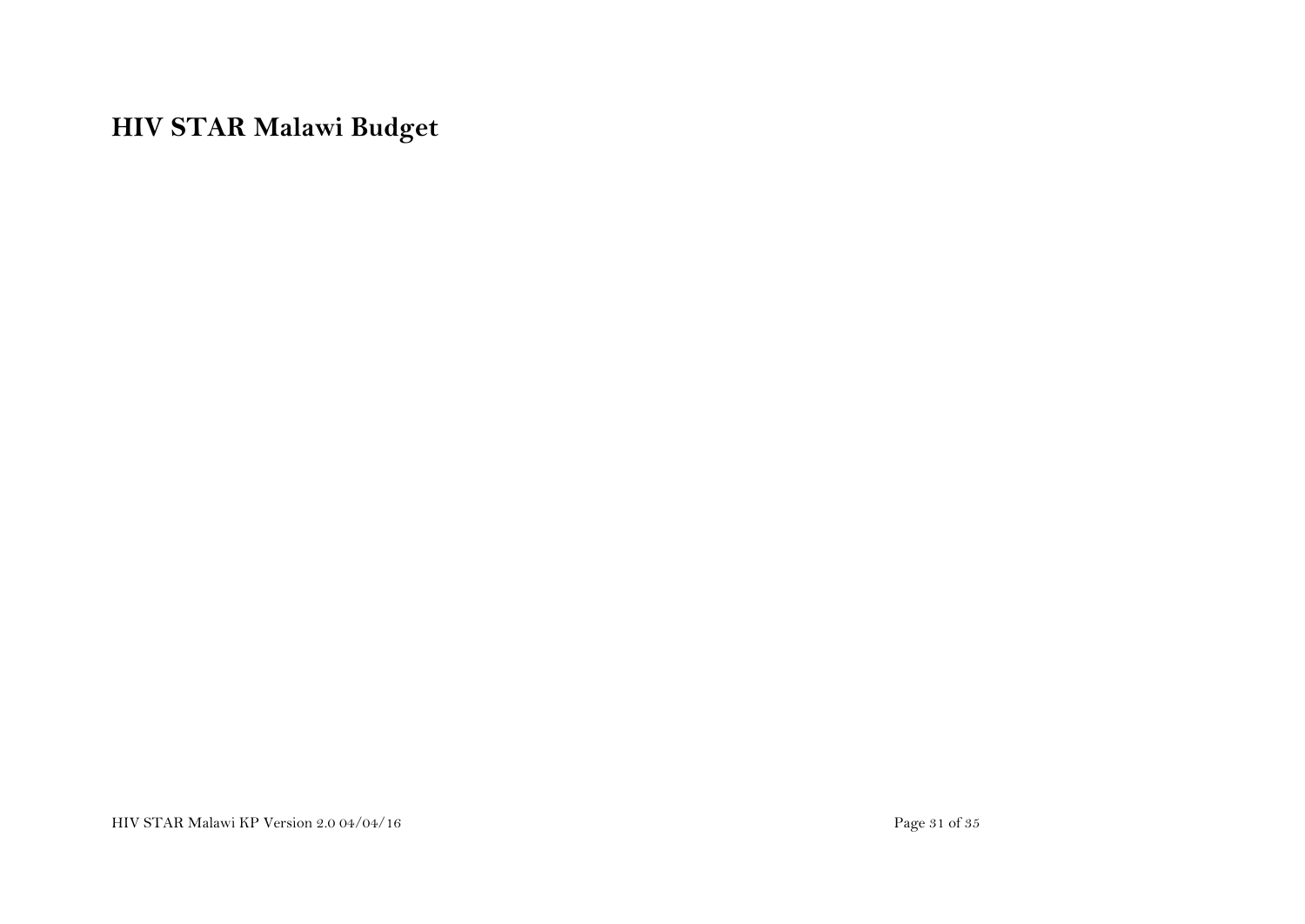## **HIV STAR Malawi Budget**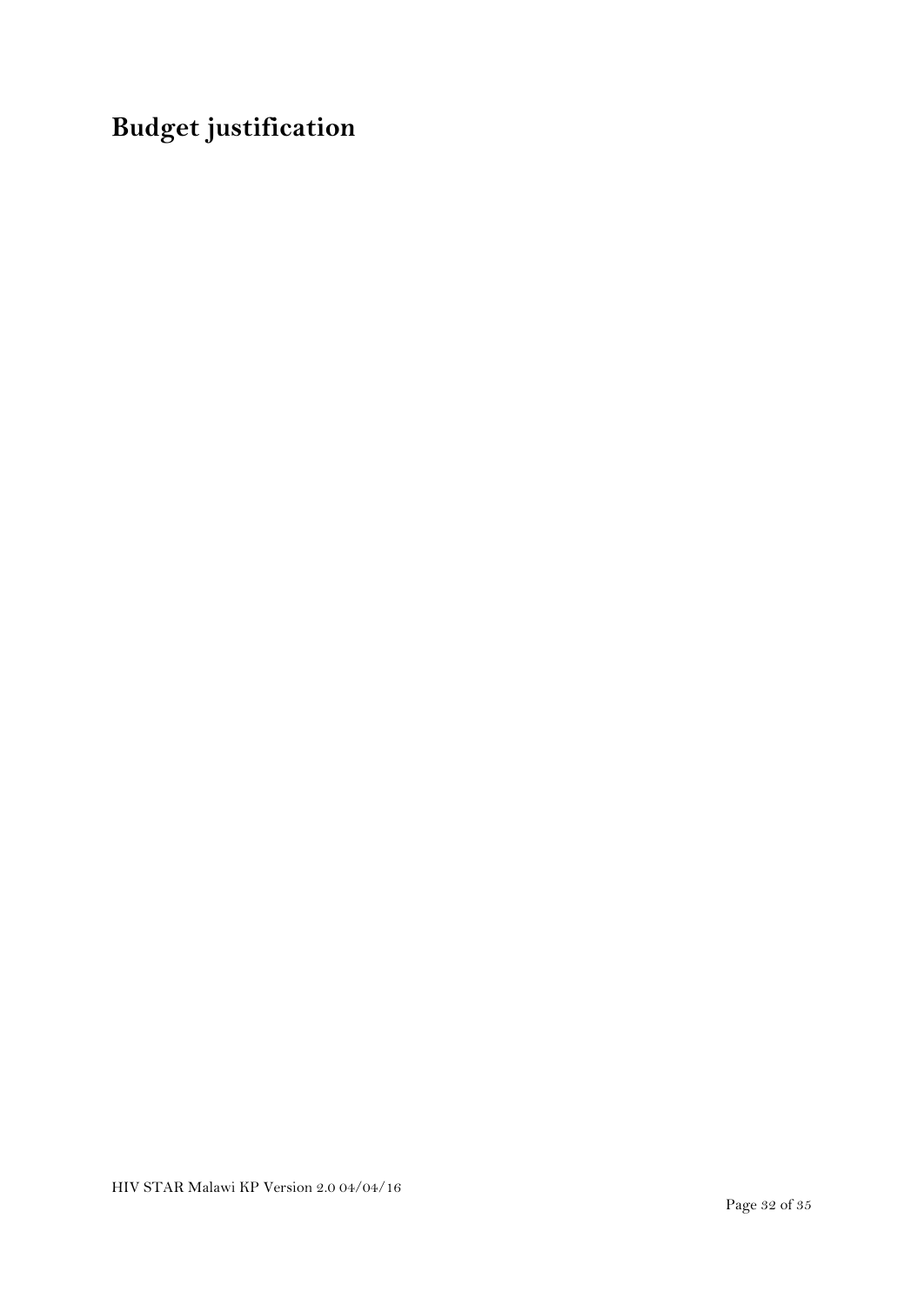# **Budget justification**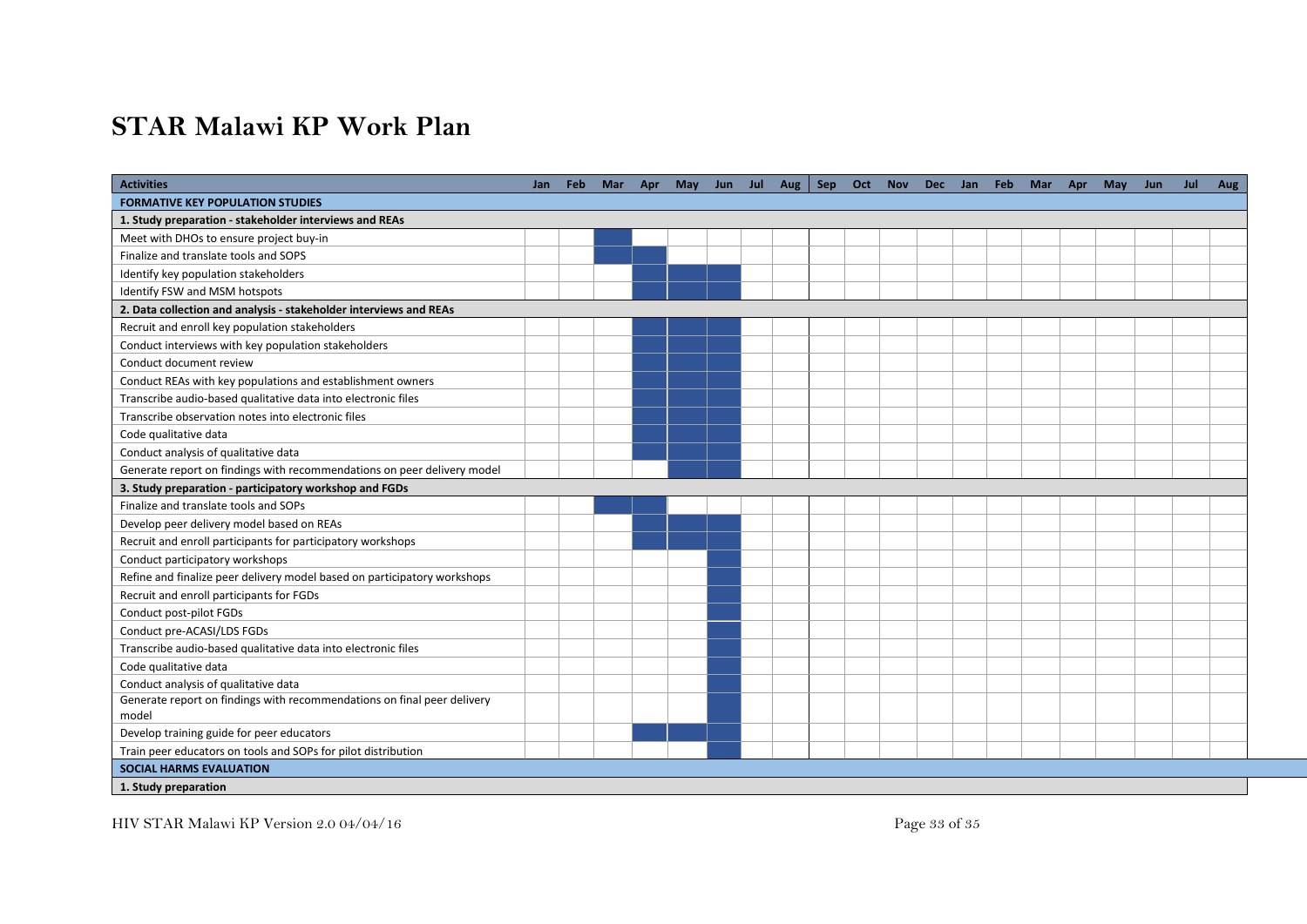## **STAR Malawi KP Work Plan**

| <b>Activities</b>                                                        | Jan | <b>Feb</b> | <b>Mar</b> | Apr May Jun Jul Aug |  |  | Sep Oct Nov |  | Dec Jan Feb | Mar Apr | May | Jun | Jul | Aug |
|--------------------------------------------------------------------------|-----|------------|------------|---------------------|--|--|-------------|--|-------------|---------|-----|-----|-----|-----|
| <b>FORMATIVE KEY POPULATION STUDIES</b>                                  |     |            |            |                     |  |  |             |  |             |         |     |     |     |     |
| 1. Study preparation - stakeholder interviews and REAs                   |     |            |            |                     |  |  |             |  |             |         |     |     |     |     |
| Meet with DHOs to ensure project buy-in                                  |     |            |            |                     |  |  |             |  |             |         |     |     |     |     |
| Finalize and translate tools and SOPS                                    |     |            |            |                     |  |  |             |  |             |         |     |     |     |     |
| Identify key population stakeholders                                     |     |            |            |                     |  |  |             |  |             |         |     |     |     |     |
| Identify FSW and MSM hotspots                                            |     |            |            |                     |  |  |             |  |             |         |     |     |     |     |
| 2. Data collection and analysis - stakeholder interviews and REAs        |     |            |            |                     |  |  |             |  |             |         |     |     |     |     |
| Recruit and enroll key population stakeholders                           |     |            |            |                     |  |  |             |  |             |         |     |     |     |     |
| Conduct interviews with key population stakeholders                      |     |            |            |                     |  |  |             |  |             |         |     |     |     |     |
| Conduct document review                                                  |     |            |            |                     |  |  |             |  |             |         |     |     |     |     |
| Conduct REAs with key populations and establishment owners               |     |            |            |                     |  |  |             |  |             |         |     |     |     |     |
| Transcribe audio-based qualitative data into electronic files            |     |            |            |                     |  |  |             |  |             |         |     |     |     |     |
| Transcribe observation notes into electronic files                       |     |            |            |                     |  |  |             |  |             |         |     |     |     |     |
| Code qualitative data                                                    |     |            |            |                     |  |  |             |  |             |         |     |     |     |     |
| Conduct analysis of qualitative data                                     |     |            |            |                     |  |  |             |  |             |         |     |     |     |     |
| Generate report on findings with recommendations on peer delivery model  |     |            |            |                     |  |  |             |  |             |         |     |     |     |     |
| 3. Study preparation - participatory workshop and FGDs                   |     |            |            |                     |  |  |             |  |             |         |     |     |     |     |
| Finalize and translate tools and SOPs                                    |     |            |            |                     |  |  |             |  |             |         |     |     |     |     |
| Develop peer delivery model based on REAs                                |     |            |            |                     |  |  |             |  |             |         |     |     |     |     |
| Recruit and enroll participants for participatory workshops              |     |            |            |                     |  |  |             |  |             |         |     |     |     |     |
| Conduct participatory workshops                                          |     |            |            |                     |  |  |             |  |             |         |     |     |     |     |
| Refine and finalize peer delivery model based on participatory workshops |     |            |            |                     |  |  |             |  |             |         |     |     |     |     |
| Recruit and enroll participants for FGDs                                 |     |            |            |                     |  |  |             |  |             |         |     |     |     |     |
| Conduct post-pilot FGDs                                                  |     |            |            |                     |  |  |             |  |             |         |     |     |     |     |
| Conduct pre-ACASI/LDS FGDs                                               |     |            |            |                     |  |  |             |  |             |         |     |     |     |     |
| Transcribe audio-based qualitative data into electronic files            |     |            |            |                     |  |  |             |  |             |         |     |     |     |     |
| Code qualitative data                                                    |     |            |            |                     |  |  |             |  |             |         |     |     |     |     |
| Conduct analysis of qualitative data                                     |     |            |            |                     |  |  |             |  |             |         |     |     |     |     |
| Generate report on findings with recommendations on final peer delivery  |     |            |            |                     |  |  |             |  |             |         |     |     |     |     |
| model                                                                    |     |            |            |                     |  |  |             |  |             |         |     |     |     |     |
| Develop training guide for peer educators                                |     |            |            |                     |  |  |             |  |             |         |     |     |     |     |
| Train peer educators on tools and SOPs for pilot distribution            |     |            |            |                     |  |  |             |  |             |         |     |     |     |     |
| <b>SOCIAL HARMS EVALUATION</b>                                           |     |            |            |                     |  |  |             |  |             |         |     |     |     |     |
| 1. Study preparation                                                     |     |            |            |                     |  |  |             |  |             |         |     |     |     |     |

HIV STAR Malawi KP Version 2.0 04/04/16 Page 33 of 35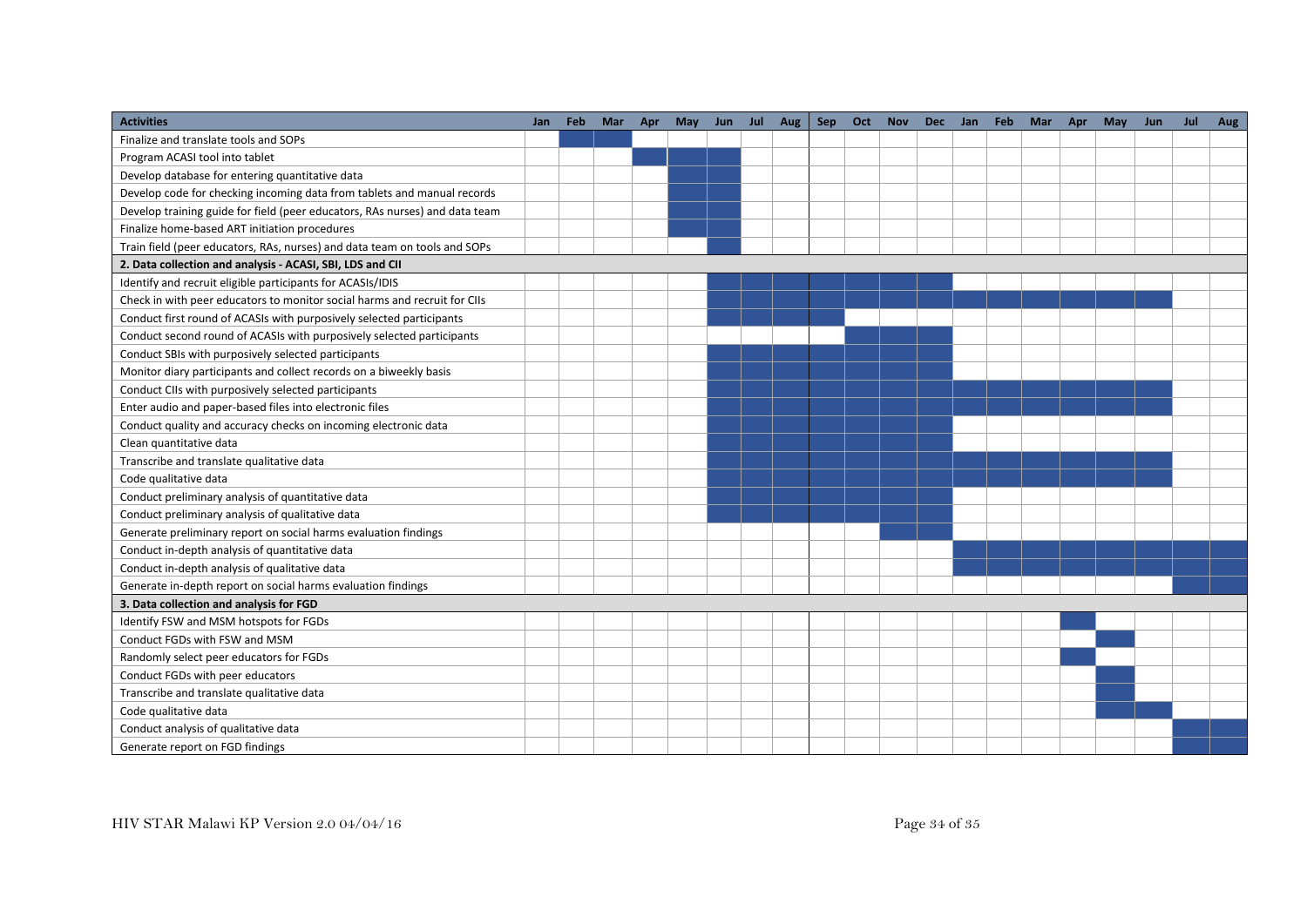| <b>Activities</b>                                                           | Jan | Feb | Mar | Apr | May | Jun | Jul | Aug | Sep | Oct | <b>Nov</b> | <b>Dec</b> | Jan | Feb | Mar | Apr | May | Jun | Jul | Aug |
|-----------------------------------------------------------------------------|-----|-----|-----|-----|-----|-----|-----|-----|-----|-----|------------|------------|-----|-----|-----|-----|-----|-----|-----|-----|
| Finalize and translate tools and SOPs                                       |     |     |     |     |     |     |     |     |     |     |            |            |     |     |     |     |     |     |     |     |
| Program ACASI tool into tablet                                              |     |     |     |     |     |     |     |     |     |     |            |            |     |     |     |     |     |     |     |     |
| Develop database for entering quantitative data                             |     |     |     |     |     |     |     |     |     |     |            |            |     |     |     |     |     |     |     |     |
| Develop code for checking incoming data from tablets and manual records     |     |     |     |     |     |     |     |     |     |     |            |            |     |     |     |     |     |     |     |     |
| Develop training guide for field (peer educators, RAs nurses) and data team |     |     |     |     |     |     |     |     |     |     |            |            |     |     |     |     |     |     |     |     |
| Finalize home-based ART initiation procedures                               |     |     |     |     |     |     |     |     |     |     |            |            |     |     |     |     |     |     |     |     |
| Train field (peer educators, RAs, nurses) and data team on tools and SOPs   |     |     |     |     |     |     |     |     |     |     |            |            |     |     |     |     |     |     |     |     |
| 2. Data collection and analysis - ACASI, SBI, LDS and CII                   |     |     |     |     |     |     |     |     |     |     |            |            |     |     |     |     |     |     |     |     |
| Identify and recruit eligible participants for ACASIs/IDIS                  |     |     |     |     |     |     |     |     |     |     |            |            |     |     |     |     |     |     |     |     |
| Check in with peer educators to monitor social harms and recruit for CIIs   |     |     |     |     |     |     |     |     |     |     |            |            |     |     |     |     |     |     |     |     |
| Conduct first round of ACASIs with purposively selected participants        |     |     |     |     |     |     |     |     |     |     |            |            |     |     |     |     |     |     |     |     |
| Conduct second round of ACASIs with purposively selected participants       |     |     |     |     |     |     |     |     |     |     |            |            |     |     |     |     |     |     |     |     |
| Conduct SBIs with purposively selected participants                         |     |     |     |     |     |     |     |     |     |     |            |            |     |     |     |     |     |     |     |     |
| Monitor diary participants and collect records on a biweekly basis          |     |     |     |     |     |     |     |     |     |     |            |            |     |     |     |     |     |     |     |     |
| Conduct CIIs with purposively selected participants                         |     |     |     |     |     |     |     |     |     |     |            |            |     |     |     |     |     |     |     |     |
| Enter audio and paper-based files into electronic files                     |     |     |     |     |     |     |     |     |     |     |            |            |     |     |     |     |     |     |     |     |
| Conduct quality and accuracy checks on incoming electronic data             |     |     |     |     |     |     |     |     |     |     |            |            |     |     |     |     |     |     |     |     |
| Clean quantitative data                                                     |     |     |     |     |     |     |     |     |     |     |            |            |     |     |     |     |     |     |     |     |
| Transcribe and translate qualitative data                                   |     |     |     |     |     |     |     |     |     |     |            |            |     |     |     |     |     |     |     |     |
| Code qualitative data                                                       |     |     |     |     |     |     |     |     |     |     |            |            |     |     |     |     |     |     |     |     |
| Conduct preliminary analysis of quantitative data                           |     |     |     |     |     |     |     |     |     |     |            |            |     |     |     |     |     |     |     |     |
| Conduct preliminary analysis of qualitative data                            |     |     |     |     |     |     |     |     |     |     |            |            |     |     |     |     |     |     |     |     |
| Generate preliminary report on social harms evaluation findings             |     |     |     |     |     |     |     |     |     |     |            |            |     |     |     |     |     |     |     |     |
| Conduct in-depth analysis of quantitative data                              |     |     |     |     |     |     |     |     |     |     |            |            |     |     |     |     |     |     |     |     |
| Conduct in-depth analysis of qualitative data                               |     |     |     |     |     |     |     |     |     |     |            |            |     |     |     |     |     |     |     |     |
| Generate in-depth report on social harms evaluation findings                |     |     |     |     |     |     |     |     |     |     |            |            |     |     |     |     |     |     |     |     |
| 3. Data collection and analysis for FGD                                     |     |     |     |     |     |     |     |     |     |     |            |            |     |     |     |     |     |     |     |     |
| Identify FSW and MSM hotspots for FGDs                                      |     |     |     |     |     |     |     |     |     |     |            |            |     |     |     |     |     |     |     |     |
| Conduct FGDs with FSW and MSM                                               |     |     |     |     |     |     |     |     |     |     |            |            |     |     |     |     |     |     |     |     |
| Randomly select peer educators for FGDs                                     |     |     |     |     |     |     |     |     |     |     |            |            |     |     |     |     |     |     |     |     |
| Conduct FGDs with peer educators                                            |     |     |     |     |     |     |     |     |     |     |            |            |     |     |     |     |     |     |     |     |
| Transcribe and translate qualitative data                                   |     |     |     |     |     |     |     |     |     |     |            |            |     |     |     |     |     |     |     |     |
| Code qualitative data                                                       |     |     |     |     |     |     |     |     |     |     |            |            |     |     |     |     |     |     |     |     |
| Conduct analysis of qualitative data                                        |     |     |     |     |     |     |     |     |     |     |            |            |     |     |     |     |     |     |     |     |
| Generate report on FGD findings                                             |     |     |     |     |     |     |     |     |     |     |            |            |     |     |     |     |     |     |     |     |